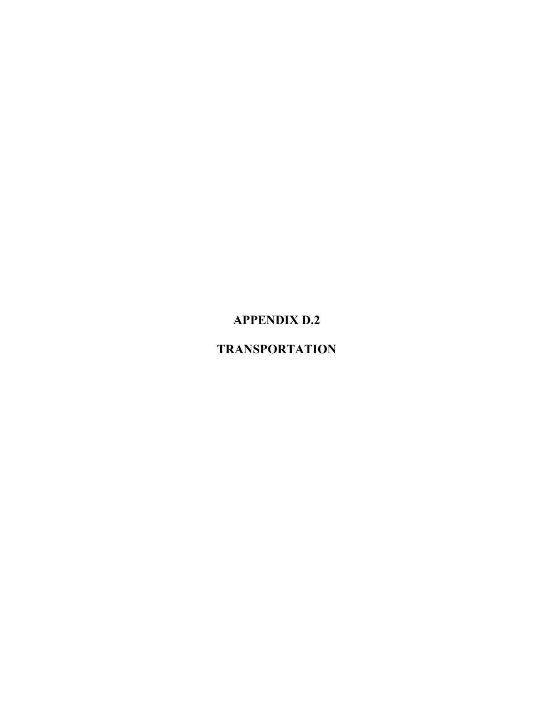# **APPENDIX D.2**

# **TRANSPORTATION**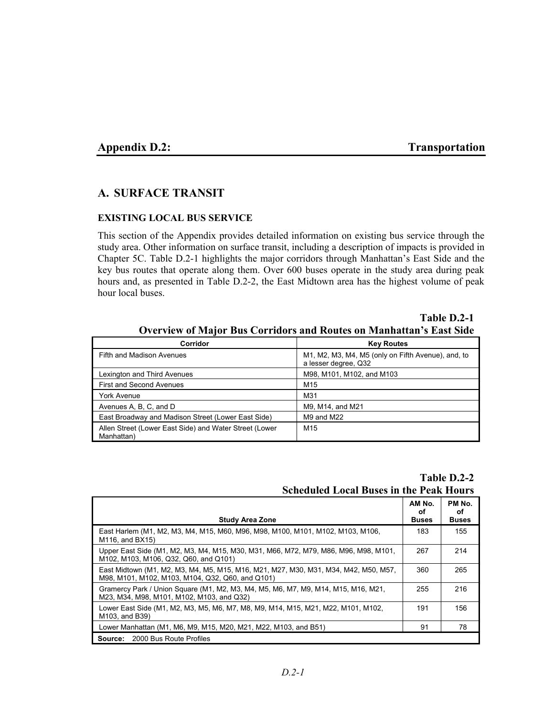#### **Appendix D.2:** Transportation

## **A. SURFACE TRANSIT**

#### **EXISTING LOCAL BUS SERVICE**

This section of the Appendix provides detailed information on existing bus service through the study area. Other information on surface transit, including a description of impacts is provided in Chapter 5C. Table D.2-1 highlights the major corridors through Manhattan's East Side and the key bus routes that operate along them. Over 600 buses operate in the study area during peak hours and, as presented in Table D.2-2, the East Midtown area has the highest volume of peak hour local buses.

|                                                                            | Table D.2-1 |
|----------------------------------------------------------------------------|-------------|
| <b>Overview of Major Bus Corridors and Routes on Manhattan's East Side</b> |             |

| Corridor                                                             | <b>Key Routes</b>                                                          |
|----------------------------------------------------------------------|----------------------------------------------------------------------------|
| <b>Fifth and Madison Avenues</b>                                     | M1, M2, M3, M4, M5 (only on Fifth Avenue), and, to<br>a lesser degree, Q32 |
| Lexington and Third Avenues                                          | M98, M101, M102, and M103                                                  |
| <b>First and Second Avenues</b>                                      | M <sub>15</sub>                                                            |
| York Avenue                                                          | M31                                                                        |
| Avenues A, B, C, and D                                               | M9, M14, and M21                                                           |
| East Broadway and Madison Street (Lower East Side)                   | M9 and M22                                                                 |
| Allen Street (Lower East Side) and Water Street (Lower<br>Manhattan) | M <sub>15</sub>                                                            |

**Table D.2-2 Scheduled Local Buses in the Peak Hours**

|                                                                                                                                         | AM No.<br>οf | PM No.<br>οf |
|-----------------------------------------------------------------------------------------------------------------------------------------|--------------|--------------|
| <b>Study Area Zone</b>                                                                                                                  | <b>Buses</b> | <b>Buses</b> |
| East Harlem (M1, M2, M3, M4, M15, M60, M96, M98, M100, M101, M102, M103, M106,<br>M116, and BX15)                                       | 183          | 155          |
| Upper East Side (M1, M2, M3, M4, M15, M30, M31, M66, M72, M79, M86, M96, M98, M101,<br>M102, M103, M106, Q32, Q60, and Q101)            | 267          | 214          |
| East Midtown (M1, M2, M3, M4, M5, M15, M16, M21, M27, M30, M31, M34, M42, M50, M57,<br>M98, M101, M102, M103, M104, Q32, Q60, and Q101) | 360          | 265          |
| Gramercy Park / Union Square (M1, M2, M3, M4, M5, M6, M7, M9, M14, M15, M16, M21,<br>M23, M34, M98, M101, M102, M103, and Q32)          | 255          | 216          |
| Lower East Side (M1, M2, M3, M5, M6, M7, M8, M9, M14, M15, M21, M22, M101, M102,<br>M103, and B39)                                      | 191          | 156          |
| Lower Manhattan (M1, M6, M9, M15, M20, M21, M22, M103, and B51)                                                                         | 91           | 78           |
| <b>Source:</b> 2000 Bus Route Profiles                                                                                                  |              |              |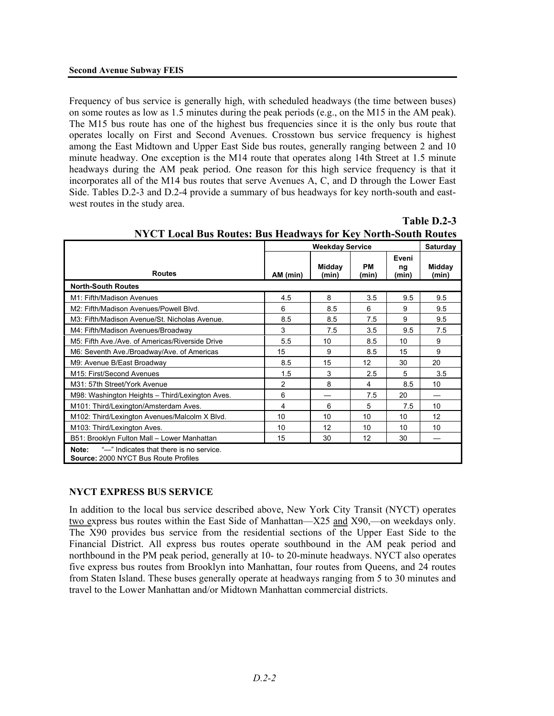Frequency of bus service is generally high, with scheduled headways (the time between buses) on some routes as low as 1.5 minutes during the peak periods (e.g., on the M15 in the AM peak). The M15 bus route has one of the highest bus frequencies since it is the only bus route that operates locally on First and Second Avenues. Crosstown bus service frequency is highest among the East Midtown and Upper East Side bus routes, generally ranging between 2 and 10 minute headway. One exception is the M14 route that operates along 14th Street at 1.5 minute headways during the AM peak period. One reason for this high service frequency is that it incorporates all of the M14 bus routes that serve Avenues A, C, and D through the Lower East Side. Tables D.2-3 and D.2-4 provide a summary of bus headways for key north-south and eastwest routes in the study area.

|                                                                                          | <b>Weekday Service</b> |                 |                    |                      | Saturday        |
|------------------------------------------------------------------------------------------|------------------------|-----------------|--------------------|----------------------|-----------------|
| <b>Routes</b>                                                                            | AM (min)               | Midday<br>(min) | <b>PM</b><br>(min) | Eveni<br>ng<br>(min) | Midday<br>(min) |
| <b>North-South Routes</b>                                                                |                        |                 |                    |                      |                 |
| M1: Fifth/Madison Avenues                                                                | 4.5                    | 8               | 3.5                | 9.5                  | 9.5             |
| M2: Fifth/Madison Avenues/Powell Blvd.                                                   | 6                      | 8.5             | 6                  | 9                    | 9.5             |
| M3: Fifth/Madison Avenue/St. Nicholas Avenue.                                            | 8.5                    | 8.5             | 7.5                | 9                    | 9.5             |
| M4: Fifth/Madison Avenues/Broadway                                                       | 3                      | 7.5             | 3.5                | 9.5                  | 7.5             |
| M5: Fifth Ave /Ave. of Americas/Riverside Drive                                          | 5.5                    | 10              | 8.5                | 10                   | 9               |
| M6: Seventh Ave./Broadway/Ave. of Americas                                               | 15                     | 9               | 8.5                | 15                   | 9               |
| M9: Avenue B/East Broadway                                                               | 8.5                    | 15              | 12                 | 30                   | 20              |
| M15: First/Second Avenues                                                                | 1.5                    | 3               | 2.5                | 5                    | 3.5             |
| M31: 57th Street/York Avenue                                                             | $\overline{2}$         | 8               | 4                  | 8.5                  | 10              |
| M98: Washington Heights - Third/Lexington Aves.                                          | 6                      |                 | 7.5                | 20                   |                 |
| M101: Third/Lexington/Amsterdam Aves.                                                    | 4                      | 6               | 5                  | 7.5                  | 10              |
| M102: Third/Lexington Avenues/Malcolm X Blvd.                                            | 10                     | 10              | 10                 | 10                   | 12              |
| M103: Third/Lexington Aves.                                                              | 10                     | 12              | 10                 | 10                   | 10              |
| B51: Brooklyn Fulton Mall - Lower Manhattan                                              | 15                     | 30              | 12                 | 30                   |                 |
| "-" Indicates that there is no service.<br>Note:<br>Source: 2000 NYCT Bus Route Profiles |                        |                 |                    |                      |                 |

| <b>NYCT Local Bus Routes: Bus Headways for Key North-South Routes</b> |  |
|-----------------------------------------------------------------------|--|
|                                                                       |  |

**Table D.2-3**

## **NYCT EXPRESS BUS SERVICE**

In addition to the local bus service described above, New York City Transit (NYCT) operates two express bus routes within the East Side of Manhattan—X25 and X90,—on weekdays only. The X90 provides bus service from the residential sections of the Upper East Side to the Financial District. All express bus routes operate southbound in the AM peak period and northbound in the PM peak period, generally at 10- to 20-minute headways. NYCT also operates five express bus routes from Brooklyn into Manhattan, four routes from Queens, and 24 routes from Staten Island. These buses generally operate at headways ranging from 5 to 30 minutes and travel to the Lower Manhattan and/or Midtown Manhattan commercial districts.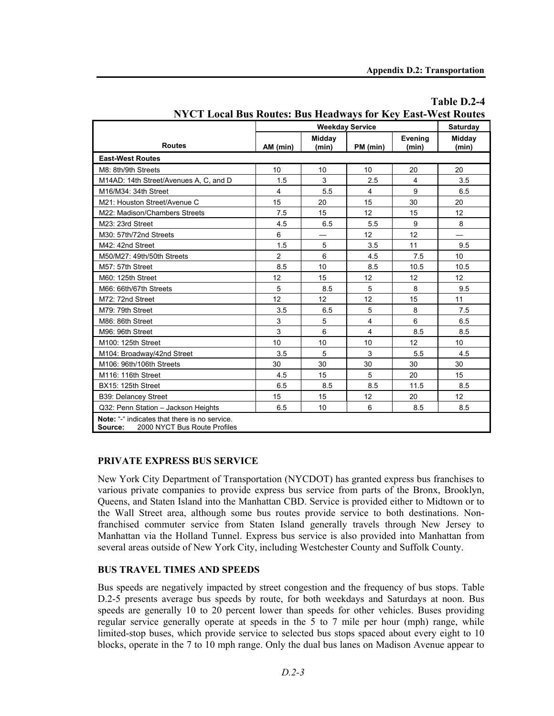|                                                                                          | <b>Weekday Service</b><br>Saturday |                          |                 |                  |                                  |
|------------------------------------------------------------------------------------------|------------------------------------|--------------------------|-----------------|------------------|----------------------------------|
| <b>Routes</b>                                                                            | AM (min)                           | Midday<br>(min)          | PM (min)        | Evening<br>(min) | Midday<br>(min)                  |
| <b>East-West Routes</b>                                                                  |                                    |                          |                 |                  |                                  |
| M8: 8th/9th Streets                                                                      | 10                                 | 10                       | 10              | 20               | 20                               |
| M14AD: 14th Street/Avenues A, C, and D                                                   | 1.5                                | 3                        | 2.5             | 4                | 3.5                              |
| M16/M34: 34th Street                                                                     | 4                                  | 5.5                      | $\overline{4}$  | 9                | 6.5                              |
| M21: Houston Street/Avenue C                                                             | 15                                 | 20                       | 15              | 30               | 20                               |
| M22: Madison/Chambers Streets                                                            | 7.5                                | 15                       | 12              | 15               | 12                               |
| M23: 23rd Street                                                                         | 4.5                                | 6.5                      | 5.5             | 9                | 8                                |
| M30: 57th/72nd Streets                                                                   | 6                                  | $\overline{\phantom{0}}$ | 12              | 12               | $\overbrace{\phantom{12322111}}$ |
| M42: 42nd Street                                                                         | 1.5                                | 5                        | 3.5             | 11               | 9.5                              |
| M50/M27: 49th/50th Streets                                                               | $\overline{2}$                     | 6                        | 4.5             | 7.5              | 10 <sup>°</sup>                  |
| M57: 57th Street                                                                         | 8.5                                | 10                       | 8.5             | 10.5             | 10.5                             |
| M60: 125th Street                                                                        | 12                                 | 15                       | 12 <sup>°</sup> | 12               | 12 <sup>°</sup>                  |
| M66: 66th/67th Streets                                                                   | 5                                  | 8.5                      | 5               | 8                | 9.5                              |
| M72: 72nd Street                                                                         | 12                                 | 12 <sup>2</sup>          | 12              | 15               | 11                               |
| M79: 79th Street                                                                         | 3.5                                | 6.5                      | 5               | 8                | 7.5                              |
| M86: 86th Street                                                                         | 3                                  | 5                        | 4               | 6                | 6.5                              |
| M96: 96th Street                                                                         | 3                                  | 6                        | $\overline{4}$  | 8.5              | 8.5                              |
| M100: 125th Street                                                                       | 10                                 | 10                       | 10              | 12               | 10 <sup>°</sup>                  |
| M104: Broadway/42nd Street                                                               | 3.5                                | 5                        | 3               | 5.5              | 4.5                              |
| M106: 96th/106th Streets                                                                 | 30                                 | 30                       | 30              | 30               | 30                               |
| M116: 116th Street                                                                       | 4.5                                | 15                       | 5               | 20               | 15                               |
| BX15: 125th Street                                                                       | 6.5                                | 8.5                      | 8.5             | 11.5             | 8.5                              |
| B39: Delancey Street                                                                     | 15                                 | 15                       | 12              | 20               | 12 <sup>°</sup>                  |
| Q32: Penn Station - Jackson Heights                                                      | 6.5                                | 10                       | 6               | 8.5              | 8.5                              |
| Note: "-" indicates that there is no service.<br>2000 NYCT Bus Route Profiles<br>Source: |                                    |                          |                 |                  |                                  |

## **Table D.2-4 NYCT Local Bus Routes: Bus Headways for Key East-West Routes**

#### **PRIVATE EXPRESS BUS SERVICE**

New York City Department of Transportation (NYCDOT) has granted express bus franchises to various private companies to provide express bus service from parts of the Bronx, Brooklyn, Queens, and Staten Island into the Manhattan CBD. Service is provided either to Midtown or to the Wall Street area, although some bus routes provide service to both destinations. Nonfranchised commuter service from Staten Island generally travels through New Jersey to Manhattan via the Holland Tunnel. Express bus service is also provided into Manhattan from several areas outside of New York City, including Westchester County and Suffolk County.

#### **BUS TRAVEL TIMES AND SPEEDS**

Bus speeds are negatively impacted by street congestion and the frequency of bus stops. Table D.2-5 presents average bus speeds by route, for both weekdays and Saturdays at noon. Bus speeds are generally 10 to 20 percent lower than speeds for other vehicles. Buses providing regular service generally operate at speeds in the 5 to 7 mile per hour (mph) range, while limited-stop buses, which provide service to selected bus stops spaced about every eight to 10 blocks, operate in the 7 to 10 mph range. Only the dual bus lanes on Madison Avenue appear to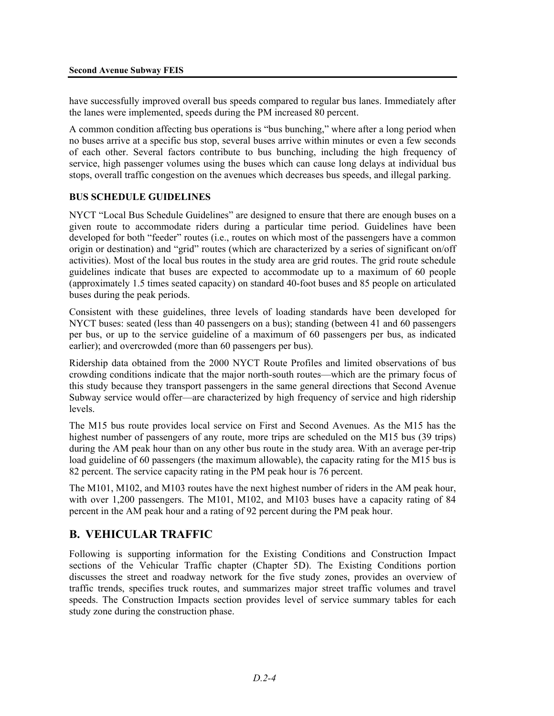have successfully improved overall bus speeds compared to regular bus lanes. Immediately after the lanes were implemented, speeds during the PM increased 80 percent.

A common condition affecting bus operations is "bus bunching," where after a long period when no buses arrive at a specific bus stop, several buses arrive within minutes or even a few seconds of each other. Several factors contribute to bus bunching, including the high frequency of service, high passenger volumes using the buses which can cause long delays at individual bus stops, overall traffic congestion on the avenues which decreases bus speeds, and illegal parking.

#### **BUS SCHEDULE GUIDELINES**

NYCT "Local Bus Schedule Guidelines" are designed to ensure that there are enough buses on a given route to accommodate riders during a particular time period. Guidelines have been developed for both "feeder" routes (i.e., routes on which most of the passengers have a common origin or destination) and "grid" routes (which are characterized by a series of significant on/off activities). Most of the local bus routes in the study area are grid routes. The grid route schedule guidelines indicate that buses are expected to accommodate up to a maximum of 60 people (approximately 1.5 times seated capacity) on standard 40-foot buses and 85 people on articulated buses during the peak periods.

Consistent with these guidelines, three levels of loading standards have been developed for NYCT buses: seated (less than 40 passengers on a bus); standing (between 41 and 60 passengers per bus, or up to the service guideline of a maximum of 60 passengers per bus, as indicated earlier); and overcrowded (more than 60 passengers per bus).

Ridership data obtained from the 2000 NYCT Route Profiles and limited observations of bus crowding conditions indicate that the major north-south routes—which are the primary focus of this study because they transport passengers in the same general directions that Second Avenue Subway service would offer—are characterized by high frequency of service and high ridership levels.

The M15 bus route provides local service on First and Second Avenues. As the M15 has the highest number of passengers of any route, more trips are scheduled on the M15 bus (39 trips) during the AM peak hour than on any other bus route in the study area. With an average per-trip load guideline of 60 passengers (the maximum allowable), the capacity rating for the M15 bus is 82 percent. The service capacity rating in the PM peak hour is 76 percent.

The M101, M102, and M103 routes have the next highest number of riders in the AM peak hour, with over 1,200 passengers. The M101, M102, and M103 buses have a capacity rating of 84 percent in the AM peak hour and a rating of 92 percent during the PM peak hour.

# **B. VEHICULAR TRAFFIC**

Following is supporting information for the Existing Conditions and Construction Impact sections of the Vehicular Traffic chapter (Chapter 5D). The Existing Conditions portion discusses the street and roadway network for the five study zones, provides an overview of traffic trends, specifies truck routes, and summarizes major street traffic volumes and travel speeds. The Construction Impacts section provides level of service summary tables for each study zone during the construction phase.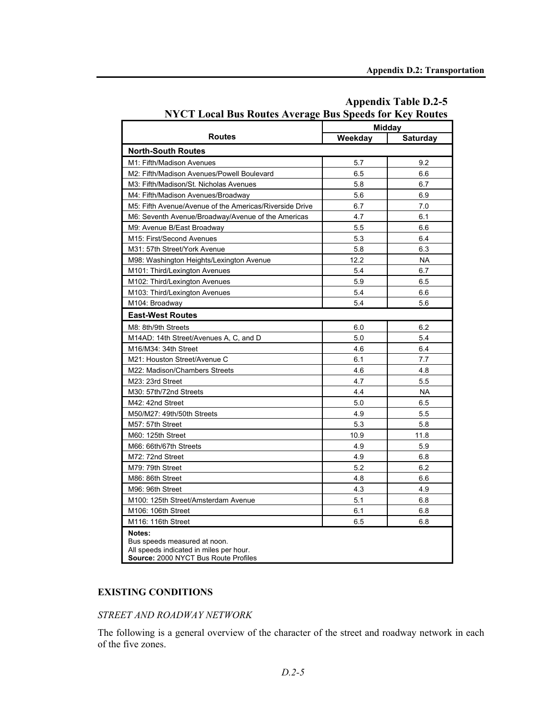|                                                                                                                           | <b>Midday</b> |                 |  |  |
|---------------------------------------------------------------------------------------------------------------------------|---------------|-----------------|--|--|
| <b>Routes</b>                                                                                                             | Weekday       | <b>Saturday</b> |  |  |
| <b>North-South Routes</b>                                                                                                 |               |                 |  |  |
| M1: Fifth/Madison Avenues                                                                                                 | 5.7           | 9.2             |  |  |
| M2: Fifth/Madison Avenues/Powell Boulevard                                                                                | 6.5           | 6.6             |  |  |
| M3: Fifth/Madison/St. Nicholas Avenues                                                                                    | 5.8           | 6.7             |  |  |
| M4: Fifth/Madison Avenues/Broadway                                                                                        | 5.6           | 6.9             |  |  |
| M5: Fifth Avenue/Avenue of the Americas/Riverside Drive                                                                   | 6.7           | 7.0             |  |  |
| M6: Seventh Avenue/Broadway/Avenue of the Americas                                                                        | 4.7           | 6.1             |  |  |
| M9: Avenue B/East Broadway                                                                                                | 5.5           | 6.6             |  |  |
| M15: First/Second Avenues                                                                                                 | 5.3           | 6.4             |  |  |
| M31: 57th Street/York Avenue                                                                                              | 5.8           | 6.3             |  |  |
| M98: Washington Heights/Lexington Avenue                                                                                  | 12.2          | <b>NA</b>       |  |  |
| M101: Third/Lexington Avenues                                                                                             | 5.4           | 6.7             |  |  |
| M102: Third/Lexington Avenues                                                                                             | 5.9           | 6.5             |  |  |
| M103: Third/Lexington Avenues                                                                                             | 5.4           | 6.6             |  |  |
| M104: Broadway                                                                                                            | 5.4           | 5.6             |  |  |
| <b>East-West Routes</b>                                                                                                   |               |                 |  |  |
| M8: 8th/9th Streets                                                                                                       | 6.0           | 6.2             |  |  |
| M14AD: 14th Street/Avenues A, C, and D                                                                                    | 5.0           | 5.4             |  |  |
| M16/M34: 34th Street                                                                                                      | 4.6           | 6.4             |  |  |
| M21: Houston Street/Avenue C                                                                                              | 6.1           | 7.7             |  |  |
| M22: Madison/Chambers Streets                                                                                             | 4.6           | 4.8             |  |  |
| M23: 23rd Street                                                                                                          | 4.7           | 5.5             |  |  |
| M30: 57th/72nd Streets                                                                                                    | 4.4           | <b>NA</b>       |  |  |
| M42: 42nd Street                                                                                                          | 5.0           | 6.5             |  |  |
| M50/M27: 49th/50th Streets                                                                                                | 4.9           | 5.5             |  |  |
| M57: 57th Street                                                                                                          | 5.3           | 5.8             |  |  |
| M60: 125th Street                                                                                                         | 10.9          | 11.8            |  |  |
| M66: 66th/67th Streets                                                                                                    | 4.9           | 5.9             |  |  |
| M72: 72nd Street                                                                                                          | 4.9           | 6.8             |  |  |
| M79: 79th Street                                                                                                          | 5.2           | 6.2             |  |  |
| M86: 86th Street                                                                                                          | 4.8           | 6.6             |  |  |
| M96: 96th Street                                                                                                          | 4.3           | 4.9             |  |  |
| M100: 125th Street/Amsterdam Avenue                                                                                       | 5.1           | 6.8             |  |  |
| M106: 106th Street                                                                                                        | 6.1           | 6.8             |  |  |
| M116: 116th Street                                                                                                        | 6.5           | 6.8             |  |  |
| Notes:<br>Bus speeds measured at noon.<br>All speeds indicated in miles per hour.<br>Source: 2000 NYCT Bus Route Profiles |               |                 |  |  |

## **Appendix Table D.2-5 NYCT Local Bus Routes Average Bus Speeds for Key Routes**

## **EXISTING CONDITIONS**

#### *STREET AND ROADWAY NETWORK*

The following is a general overview of the character of the street and roadway network in each of the five zones.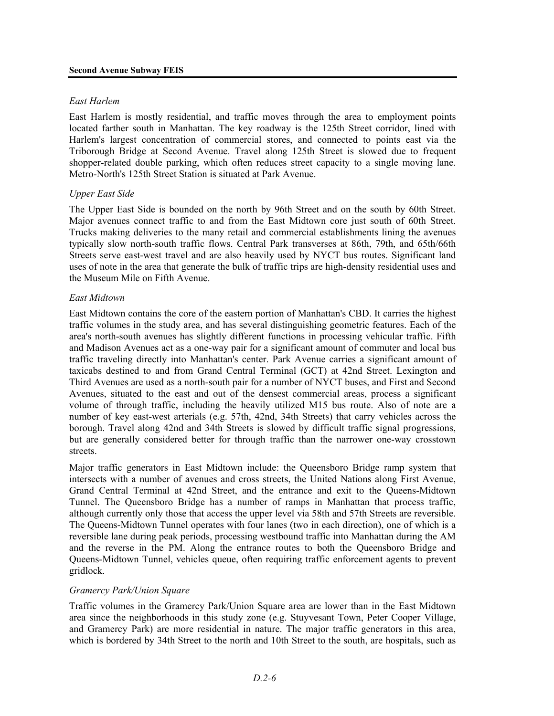#### *East Harlem*

East Harlem is mostly residential, and traffic moves through the area to employment points located farther south in Manhattan. The key roadway is the 125th Street corridor, lined with Harlem's largest concentration of commercial stores, and connected to points east via the Triborough Bridge at Second Avenue. Travel along 125th Street is slowed due to frequent shopper-related double parking, which often reduces street capacity to a single moving lane. Metro-North's 125th Street Station is situated at Park Avenue.

#### *Upper East Side*

The Upper East Side is bounded on the north by 96th Street and on the south by 60th Street. Major avenues connect traffic to and from the East Midtown core just south of 60th Street. Trucks making deliveries to the many retail and commercial establishments lining the avenues typically slow north-south traffic flows. Central Park transverses at 86th, 79th, and 65th/66th Streets serve east-west travel and are also heavily used by NYCT bus routes. Significant land uses of note in the area that generate the bulk of traffic trips are high-density residential uses and the Museum Mile on Fifth Avenue.

#### *East Midtown*

East Midtown contains the core of the eastern portion of Manhattan's CBD. It carries the highest traffic volumes in the study area, and has several distinguishing geometric features. Each of the area's north-south avenues has slightly different functions in processing vehicular traffic. Fifth and Madison Avenues act as a one-way pair for a significant amount of commuter and local bus traffic traveling directly into Manhattan's center. Park Avenue carries a significant amount of taxicabs destined to and from Grand Central Terminal (GCT) at 42nd Street. Lexington and Third Avenues are used as a north-south pair for a number of NYCT buses, and First and Second Avenues, situated to the east and out of the densest commercial areas, process a significant volume of through traffic, including the heavily utilized M15 bus route. Also of note are a number of key east-west arterials (e.g. 57th, 42nd, 34th Streets) that carry vehicles across the borough. Travel along 42nd and 34th Streets is slowed by difficult traffic signal progressions, but are generally considered better for through traffic than the narrower one-way crosstown streets.

Major traffic generators in East Midtown include: the Queensboro Bridge ramp system that intersects with a number of avenues and cross streets, the United Nations along First Avenue, Grand Central Terminal at 42nd Street, and the entrance and exit to the Queens-Midtown Tunnel. The Queensboro Bridge has a number of ramps in Manhattan that process traffic, although currently only those that access the upper level via 58th and 57th Streets are reversible. The Queens-Midtown Tunnel operates with four lanes (two in each direction), one of which is a reversible lane during peak periods, processing westbound traffic into Manhattan during the AM and the reverse in the PM. Along the entrance routes to both the Queensboro Bridge and Queens-Midtown Tunnel, vehicles queue, often requiring traffic enforcement agents to prevent gridlock.

#### *Gramercy Park/Union Square*

Traffic volumes in the Gramercy Park/Union Square area are lower than in the East Midtown area since the neighborhoods in this study zone (e.g. Stuyvesant Town, Peter Cooper Village, and Gramercy Park) are more residential in nature. The major traffic generators in this area, which is bordered by 34th Street to the north and 10th Street to the south, are hospitals, such as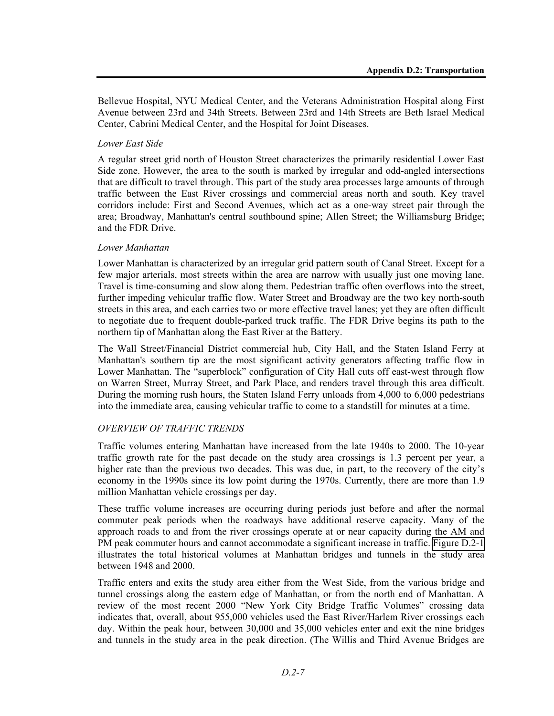Bellevue Hospital, NYU Medical Center, and the Veterans Administration Hospital along First Avenue between 23rd and 34th Streets. Between 23rd and 14th Streets are Beth Israel Medical Center, Cabrini Medical Center, and the Hospital for Joint Diseases.

#### *Lower East Side*

A regular street grid north of Houston Street characterizes the primarily residential Lower East Side zone. However, the area to the south is marked by irregular and odd-angled intersections that are difficult to travel through. This part of the study area processes large amounts of through traffic between the East River crossings and commercial areas north and south. Key travel corridors include: First and Second Avenues, which act as a one-way street pair through the area; Broadway, Manhattan's central southbound spine; Allen Street; the Williamsburg Bridge; and the FDR Drive.

#### *Lower Manhattan*

Lower Manhattan is characterized by an irregular grid pattern south of Canal Street. Except for a few major arterials, most streets within the area are narrow with usually just one moving lane. Travel is time-consuming and slow along them. Pedestrian traffic often overflows into the street, further impeding vehicular traffic flow. Water Street and Broadway are the two key north-south streets in this area, and each carries two or more effective travel lanes; yet they are often difficult to negotiate due to frequent double-parked truck traffic. The FDR Drive begins its path to the northern tip of Manhattan along the East River at the Battery.

The Wall Street/Financial District commercial hub, City Hall, and the Staten Island Ferry at Manhattan's southern tip are the most significant activity generators affecting traffic flow in Lower Manhattan. The "superblock" configuration of City Hall cuts off east-west through flow on Warren Street, Murray Street, and Park Place, and renders travel through this area difficult. During the morning rush hours, the Staten Island Ferry unloads from 4,000 to 6,000 pedestrians into the immediate area, causing vehicular traffic to come to a standstill for minutes at a time.

## *OVERVIEW OF TRAFFIC TRENDS*

Traffic volumes entering Manhattan have increased from the late 1940s to 2000. The 10-year traffic growth rate for the past decade on the study area crossings is 1.3 percent per year, a higher rate than the previous two decades. This was due, in part, to the recovery of the city's economy in the 1990s since its low point during the 1970s. Currently, there are more than 1.9 million Manhattan vehicle crossings per day.

These traffic volume increases are occurring during periods just before and after the normal commuter peak periods when the roadways have additional reserve capacity. Many of the approach roads to and from the river crossings operate at or near capacity during the AM and PM peak commuter hours and cannot accommodate a significant increase in traffic. Figure D.2-1 illustrates the total historical volumes at Manhattan bridges and tunnels in the study area between 1948 and 2000.

Traffic enters and exits the study area either from the West Side, from the various bridge and tunnel crossings along the eastern edge of Manhattan, or from the north end of Manhattan. A review of the most recent 2000 "New York City Bridge Traffic Volumes" crossing data indicates that, overall, about 955,000 vehicles used the East River/Harlem River crossings each day. Within the peak hour, between 30,000 and 35,000 vehicles enter and exit the nine bridges and tunnels in the study area in the peak direction. (The Willis and Third Avenue Bridges are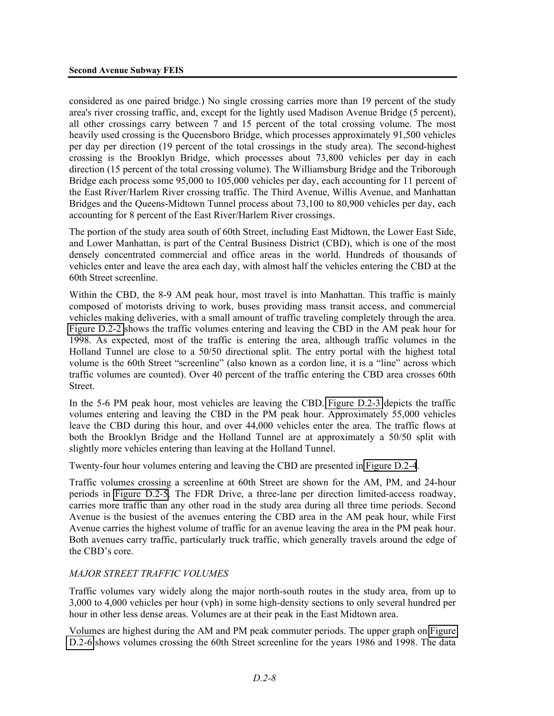considered as one paired bridge.) No single crossing carries more than 19 percent of the study area's river crossing traffic, and, except for the lightly used Madison Avenue Bridge (5 percent), all other crossings carry between 7 and 15 percent of the total crossing volume. The most heavily used crossing is the Queensboro Bridge, which processes approximately 91,500 vehicles per day per direction (19 percent of the total crossings in the study area). The second-highest crossing is the Brooklyn Bridge, which processes about 73,800 vehicles per day in each direction (15 percent of the total crossing volume). The Williamsburg Bridge and the Triborough Bridge each process some 95,000 to 105,000 vehicles per day, each accounting for 11 percent of the East River/Harlem River crossing traffic. The Third Avenue, Willis Avenue, and Manhattan Bridges and the Queens-Midtown Tunnel process about 73,100 to 80,900 vehicles per day, each accounting for 8 percent of the East River/Harlem River crossings.

The portion of the study area south of 60th Street, including East Midtown, the Lower East Side, and Lower Manhattan, is part of the Central Business District (CBD), which is one of the most densely concentrated commercial and office areas in the world. Hundreds of thousands of vehicles enter and leave the area each day, with almost half the vehicles entering the CBD at the 60th Street screenline.

Within the CBD, the 8-9 AM peak hour, most travel is into Manhattan. This traffic is mainly composed of motorists driving to work, buses providing mass transit access, and commercial vehicles making deliveries, with a small amount of traffic traveling completely through the area. Figure D.2-2 shows the traffic volumes entering and leaving the CBD in the AM peak hour for 1998. As expected, most of the traffic is entering the area, although traffic volumes in the Holland Tunnel are close to a 50/50 directional split. The entry portal with the highest total volume is the 60th Street "screenline" (also known as a cordon line, it is a "line" across which traffic volumes are counted). Over 40 percent of the traffic entering the CBD area crosses 60th Street.

In the 5-6 PM peak hour, most vehicles are leaving the CBD. Figure D.2-3 depicts the traffic volumes entering and leaving the CBD in the PM peak hour. Approximately 55,000 vehicles leave the CBD during this hour, and over 44,000 vehicles enter the area. The traffic flows at both the Brooklyn Bridge and the Holland Tunnel are at approximately a 50/50 split with slightly more vehicles entering than leaving at the Holland Tunnel.

Twenty-four hour volumes entering and leaving the CBD are presented in Figure D.2-4.

Traffic volumes crossing a screenline at 60th Street are shown for the AM, PM, and 24-hour periods in Figure D.2-5. The FDR Drive, a three-lane per direction limited-access roadway, carries more traffic than any other road in the study area during all three time periods. Second Avenue is the busiest of the avenues entering the CBD area in the AM peak hour, while First Avenue carries the highest volume of traffic for an avenue leaving the area in the PM peak hour. Both avenues carry traffic, particularly truck traffic, which generally travels around the edge of the CBD's core.

#### *MAJOR STREET TRAFFIC VOLUMES*

Traffic volumes vary widely along the major north-south routes in the study area, from up to 3,000 to 4,000 vehicles per hour (vph) in some high-density sections to only several hundred per hour in other less dense areas. Volumes are at their peak in the East Midtown area.

Volumes are highest during the AM and PM peak commuter periods. The upper graph on Figure D.2-6 shows volumes crossing the 60th Street screenline for the years 1986 and 1998. The data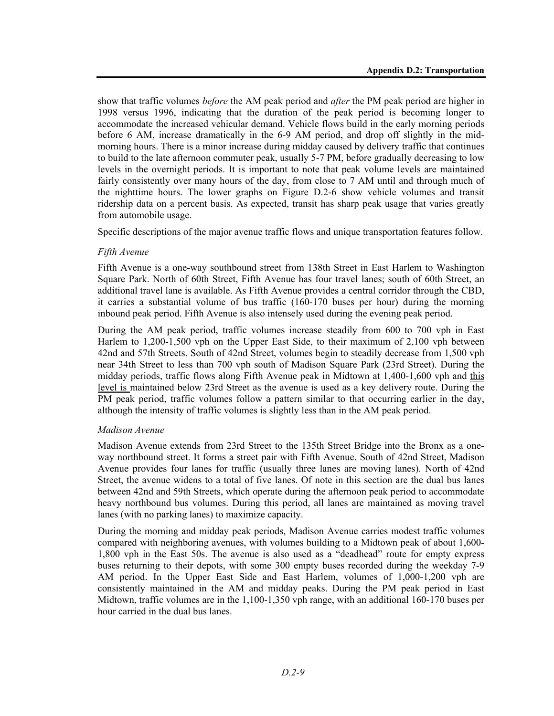show that traffic volumes *before* the AM peak period and *after* the PM peak period are higher in 1998 versus 1996, indicating that the duration of the peak period is becoming longer to accommodate the increased vehicular demand. Vehicle flows build in the early morning periods before 6 AM, increase dramatically in the 6-9 AM period, and drop off slightly in the midmorning hours. There is a minor increase during midday caused by delivery traffic that continues to build to the late afternoon commuter peak, usually 5-7 PM, before gradually decreasing to low levels in the overnight periods. It is important to note that peak volume levels are maintained fairly consistently over many hours of the day, from close to 7 AM until and through much of the nighttime hours. The lower graphs on Figure D.2-6 show vehicle volumes and transit ridership data on a percent basis. As expected, transit has sharp peak usage that varies greatly from automobile usage.

Specific descriptions of the major avenue traffic flows and unique transportation features follow.

#### *Fifth Avenue*

Fifth Avenue is a one-way southbound street from 138th Street in East Harlem to Washington Square Park. North of 60th Street, Fifth Avenue has four travel lanes; south of 60th Street, an additional travel lane is available. As Fifth Avenue provides a central corridor through the CBD, it carries a substantial volume of bus traffic (160-170 buses per hour) during the morning inbound peak period. Fifth Avenue is also intensely used during the evening peak period.

During the AM peak period, traffic volumes increase steadily from 600 to 700 vph in East Harlem to 1,200-1,500 vph on the Upper East Side, to their maximum of 2,100 vph between 42nd and 57th Streets. South of 42nd Street, volumes begin to steadily decrease from 1,500 vph near 34th Street to less than 700 vph south of Madison Square Park (23rd Street). During the midday periods, traffic flows along Fifth Avenue peak in Midtown at 1,400-1,600 vph and this level is maintained below 23rd Street as the avenue is used as a key delivery route. During the PM peak period, traffic volumes follow a pattern similar to that occurring earlier in the day, although the intensity of traffic volumes is slightly less than in the AM peak period.

#### *Madison Avenue*

Madison Avenue extends from 23rd Street to the 135th Street Bridge into the Bronx as a oneway northbound street. It forms a street pair with Fifth Avenue. South of 42nd Street, Madison Avenue provides four lanes for traffic (usually three lanes are moving lanes). North of 42nd Street, the avenue widens to a total of five lanes. Of note in this section are the dual bus lanes between 42nd and 59th Streets, which operate during the afternoon peak period to accommodate heavy northbound bus volumes. During this period, all lanes are maintained as moving travel lanes (with no parking lanes) to maximize capacity.

During the morning and midday peak periods, Madison Avenue carries modest traffic volumes compared with neighboring avenues, with volumes building to a Midtown peak of about 1,600- 1,800 vph in the East 50s. The avenue is also used as a "deadhead" route for empty express buses returning to their depots, with some 300 empty buses recorded during the weekday 7-9 AM period. In the Upper East Side and East Harlem, volumes of 1,000-1,200 vph are consistently maintained in the AM and midday peaks. During the PM peak period in East Midtown, traffic volumes are in the 1,100-1,350 vph range, with an additional 160-170 buses per hour carried in the dual bus lanes.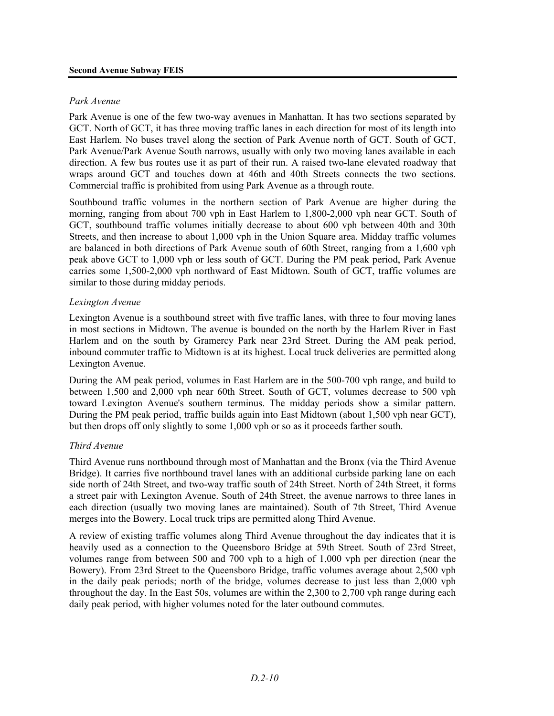#### *Park Avenue*

Park Avenue is one of the few two-way avenues in Manhattan. It has two sections separated by GCT. North of GCT, it has three moving traffic lanes in each direction for most of its length into East Harlem. No buses travel along the section of Park Avenue north of GCT. South of GCT, Park Avenue/Park Avenue South narrows, usually with only two moving lanes available in each direction. A few bus routes use it as part of their run. A raised two-lane elevated roadway that wraps around GCT and touches down at 46th and 40th Streets connects the two sections. Commercial traffic is prohibited from using Park Avenue as a through route.

Southbound traffic volumes in the northern section of Park Avenue are higher during the morning, ranging from about 700 vph in East Harlem to 1,800-2,000 vph near GCT. South of GCT, southbound traffic volumes initially decrease to about 600 vph between 40th and 30th Streets, and then increase to about 1,000 vph in the Union Square area. Midday traffic volumes are balanced in both directions of Park Avenue south of 60th Street, ranging from a 1,600 vph peak above GCT to 1,000 vph or less south of GCT. During the PM peak period, Park Avenue carries some 1,500-2,000 vph northward of East Midtown. South of GCT, traffic volumes are similar to those during midday periods.

#### *Lexington Avenue*

Lexington Avenue is a southbound street with five traffic lanes, with three to four moving lanes in most sections in Midtown. The avenue is bounded on the north by the Harlem River in East Harlem and on the south by Gramercy Park near 23rd Street. During the AM peak period, inbound commuter traffic to Midtown is at its highest. Local truck deliveries are permitted along Lexington Avenue.

During the AM peak period, volumes in East Harlem are in the 500-700 vph range, and build to between 1,500 and 2,000 vph near 60th Street. South of GCT, volumes decrease to 500 vph toward Lexington Avenue's southern terminus. The midday periods show a similar pattern. During the PM peak period, traffic builds again into East Midtown (about 1,500 vph near GCT), but then drops off only slightly to some 1,000 vph or so as it proceeds farther south.

#### *Third Avenue*

Third Avenue runs northbound through most of Manhattan and the Bronx (via the Third Avenue Bridge). It carries five northbound travel lanes with an additional curbside parking lane on each side north of 24th Street, and two-way traffic south of 24th Street. North of 24th Street, it forms a street pair with Lexington Avenue. South of 24th Street, the avenue narrows to three lanes in each direction (usually two moving lanes are maintained). South of 7th Street, Third Avenue merges into the Bowery. Local truck trips are permitted along Third Avenue.

A review of existing traffic volumes along Third Avenue throughout the day indicates that it is heavily used as a connection to the Queensboro Bridge at 59th Street. South of 23rd Street, volumes range from between 500 and 700 vph to a high of 1,000 vph per direction (near the Bowery). From 23rd Street to the Queensboro Bridge, traffic volumes average about 2,500 vph in the daily peak periods; north of the bridge, volumes decrease to just less than 2,000 vph throughout the day. In the East 50s, volumes are within the 2,300 to 2,700 vph range during each daily peak period, with higher volumes noted for the later outbound commutes.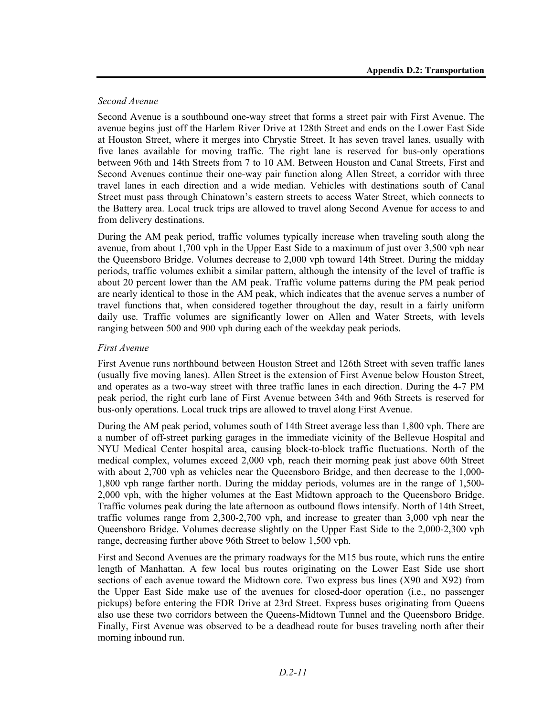#### *Second Avenue*

Second Avenue is a southbound one-way street that forms a street pair with First Avenue. The avenue begins just off the Harlem River Drive at 128th Street and ends on the Lower East Side at Houston Street, where it merges into Chrystie Street. It has seven travel lanes, usually with five lanes available for moving traffic. The right lane is reserved for bus-only operations between 96th and 14th Streets from 7 to 10 AM. Between Houston and Canal Streets, First and Second Avenues continue their one-way pair function along Allen Street, a corridor with three travel lanes in each direction and a wide median. Vehicles with destinations south of Canal Street must pass through Chinatown's eastern streets to access Water Street, which connects to the Battery area. Local truck trips are allowed to travel along Second Avenue for access to and from delivery destinations.

During the AM peak period, traffic volumes typically increase when traveling south along the avenue, from about 1,700 vph in the Upper East Side to a maximum of just over 3,500 vph near the Queensboro Bridge. Volumes decrease to 2,000 vph toward 14th Street. During the midday periods, traffic volumes exhibit a similar pattern, although the intensity of the level of traffic is about 20 percent lower than the AM peak. Traffic volume patterns during the PM peak period are nearly identical to those in the AM peak, which indicates that the avenue serves a number of travel functions that, when considered together throughout the day, result in a fairly uniform daily use. Traffic volumes are significantly lower on Allen and Water Streets, with levels ranging between 500 and 900 vph during each of the weekday peak periods.

## *First Avenue*

First Avenue runs northbound between Houston Street and 126th Street with seven traffic lanes (usually five moving lanes). Allen Street is the extension of First Avenue below Houston Street, and operates as a two-way street with three traffic lanes in each direction. During the 4-7 PM peak period, the right curb lane of First Avenue between 34th and 96th Streets is reserved for bus-only operations. Local truck trips are allowed to travel along First Avenue.

During the AM peak period, volumes south of 14th Street average less than 1,800 vph. There are a number of off-street parking garages in the immediate vicinity of the Bellevue Hospital and NYU Medical Center hospital area, causing block-to-block traffic fluctuations. North of the medical complex, volumes exceed 2,000 vph, reach their morning peak just above 60th Street with about 2,700 vph as vehicles near the Queensboro Bridge, and then decrease to the 1,000-1,800 vph range farther north. During the midday periods, volumes are in the range of 1,500- 2,000 vph, with the higher volumes at the East Midtown approach to the Queensboro Bridge. Traffic volumes peak during the late afternoon as outbound flows intensify. North of 14th Street, traffic volumes range from 2,300-2,700 vph, and increase to greater than 3,000 vph near the Queensboro Bridge. Volumes decrease slightly on the Upper East Side to the 2,000-2,300 vph range, decreasing further above 96th Street to below 1,500 vph.

First and Second Avenues are the primary roadways for the M15 bus route, which runs the entire length of Manhattan. A few local bus routes originating on the Lower East Side use short sections of each avenue toward the Midtown core. Two express bus lines (X90 and X92) from the Upper East Side make use of the avenues for closed-door operation (i.e., no passenger pickups) before entering the FDR Drive at 23rd Street. Express buses originating from Queens also use these two corridors between the Queens-Midtown Tunnel and the Queensboro Bridge. Finally, First Avenue was observed to be a deadhead route for buses traveling north after their morning inbound run.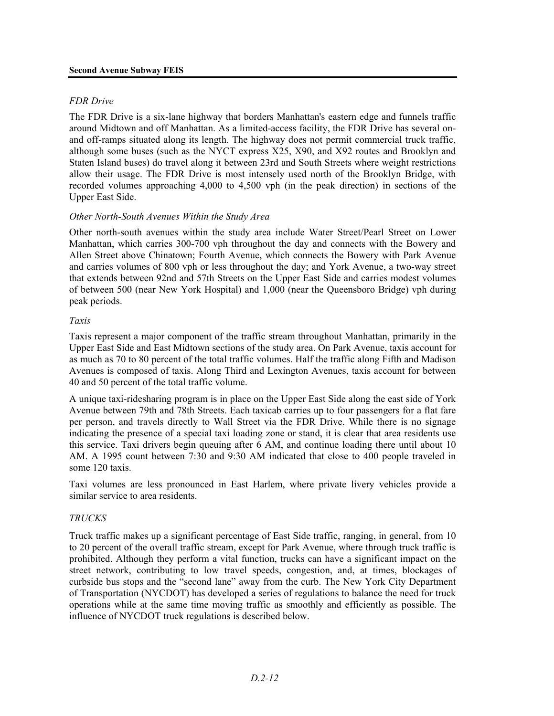#### *FDR Drive*

The FDR Drive is a six-lane highway that borders Manhattan's eastern edge and funnels traffic around Midtown and off Manhattan. As a limited-access facility, the FDR Drive has several onand off-ramps situated along its length. The highway does not permit commercial truck traffic, although some buses (such as the NYCT express X25, X90, and X92 routes and Brooklyn and Staten Island buses) do travel along it between 23rd and South Streets where weight restrictions allow their usage. The FDR Drive is most intensely used north of the Brooklyn Bridge, with recorded volumes approaching 4,000 to 4,500 vph (in the peak direction) in sections of the Upper East Side.

#### *Other North-South Avenues Within the Study Area*

Other north-south avenues within the study area include Water Street/Pearl Street on Lower Manhattan, which carries 300-700 vph throughout the day and connects with the Bowery and Allen Street above Chinatown; Fourth Avenue, which connects the Bowery with Park Avenue and carries volumes of 800 vph or less throughout the day; and York Avenue, a two-way street that extends between 92nd and 57th Streets on the Upper East Side and carries modest volumes of between 500 (near New York Hospital) and 1,000 (near the Queensboro Bridge) vph during peak periods.

#### *Taxis*

Taxis represent a major component of the traffic stream throughout Manhattan, primarily in the Upper East Side and East Midtown sections of the study area. On Park Avenue, taxis account for as much as 70 to 80 percent of the total traffic volumes. Half the traffic along Fifth and Madison Avenues is composed of taxis. Along Third and Lexington Avenues, taxis account for between 40 and 50 percent of the total traffic volume.

A unique taxi-ridesharing program is in place on the Upper East Side along the east side of York Avenue between 79th and 78th Streets. Each taxicab carries up to four passengers for a flat fare per person, and travels directly to Wall Street via the FDR Drive. While there is no signage indicating the presence of a special taxi loading zone or stand, it is clear that area residents use this service. Taxi drivers begin queuing after 6 AM, and continue loading there until about 10 AM. A 1995 count between 7:30 and 9:30 AM indicated that close to 400 people traveled in some 120 taxis.

Taxi volumes are less pronounced in East Harlem, where private livery vehicles provide a similar service to area residents.

#### *TRUCKS*

Truck traffic makes up a significant percentage of East Side traffic, ranging, in general, from 10 to 20 percent of the overall traffic stream, except for Park Avenue, where through truck traffic is prohibited. Although they perform a vital function, trucks can have a significant impact on the street network, contributing to low travel speeds, congestion, and, at times, blockages of curbside bus stops and the "second lane" away from the curb. The New York City Department of Transportation (NYCDOT) has developed a series of regulations to balance the need for truck operations while at the same time moving traffic as smoothly and efficiently as possible. The influence of NYCDOT truck regulations is described below.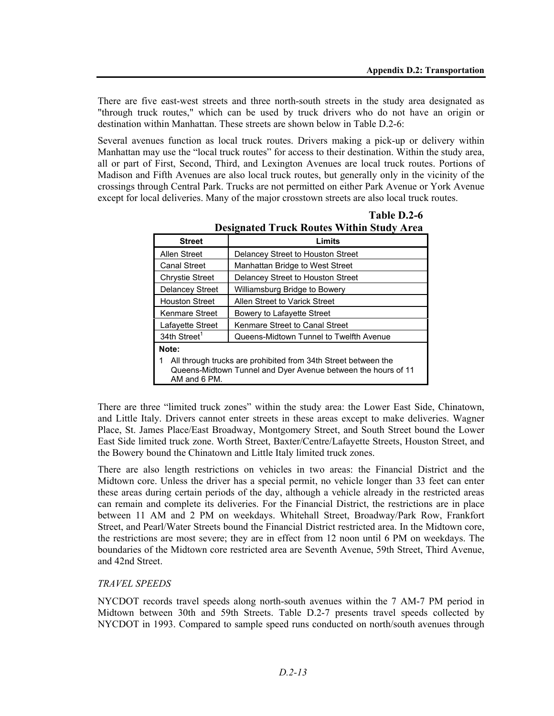There are five east-west streets and three north-south streets in the study area designated as "through truck routes," which can be used by truck drivers who do not have an origin or destination within Manhattan. These streets are shown below in Table D.2-6:

Several avenues function as local truck routes. Drivers making a pick-up or delivery within Manhattan may use the "local truck routes" for access to their destination. Within the study area, all or part of First, Second, Third, and Lexington Avenues are local truck routes. Portions of Madison and Fifth Avenues are also local truck routes, but generally only in the vicinity of the crossings through Central Park. Trucks are not permitted on either Park Avenue or York Avenue except for local deliveries. Many of the major crosstown streets are also local truck routes.

| <b>Street</b>                                                                                                                                   | Limits                                  |  |  |  |
|-------------------------------------------------------------------------------------------------------------------------------------------------|-----------------------------------------|--|--|--|
| <b>Allen Street</b>                                                                                                                             | Delancey Street to Houston Street       |  |  |  |
| <b>Canal Street</b>                                                                                                                             | Manhattan Bridge to West Street         |  |  |  |
| <b>Chrystie Street</b>                                                                                                                          | Delancey Street to Houston Street       |  |  |  |
| <b>Delancey Street</b>                                                                                                                          | Williamsburg Bridge to Bowery           |  |  |  |
| <b>Houston Street</b>                                                                                                                           | Allen Street to Varick Street           |  |  |  |
| Kenmare Street                                                                                                                                  | Bowery to Lafayette Street              |  |  |  |
| Lafayette Street                                                                                                                                | Kenmare Street to Canal Street          |  |  |  |
| 34th Street <sup>1</sup>                                                                                                                        | Queens-Midtown Tunnel to Twelfth Avenue |  |  |  |
| Note:                                                                                                                                           |                                         |  |  |  |
| All through trucks are prohibited from 34th Street between the<br>Queens-Midtown Tunnel and Dyer Avenue between the hours of 11<br>AM and 6 PM. |                                         |  |  |  |

**Table D.2-6 Designated Truck Routes Within Study Area** 

There are three "limited truck zones" within the study area: the Lower East Side, Chinatown, and Little Italy. Drivers cannot enter streets in these areas except to make deliveries. Wagner Place, St. James Place/East Broadway, Montgomery Street, and South Street bound the Lower East Side limited truck zone. Worth Street, Baxter/Centre/Lafayette Streets, Houston Street, and the Bowery bound the Chinatown and Little Italy limited truck zones.

There are also length restrictions on vehicles in two areas: the Financial District and the Midtown core. Unless the driver has a special permit, no vehicle longer than 33 feet can enter these areas during certain periods of the day, although a vehicle already in the restricted areas can remain and complete its deliveries. For the Financial District, the restrictions are in place between 11 AM and 2 PM on weekdays. Whitehall Street, Broadway/Park Row, Frankfort Street, and Pearl/Water Streets bound the Financial District restricted area. In the Midtown core, the restrictions are most severe; they are in effect from 12 noon until 6 PM on weekdays. The boundaries of the Midtown core restricted area are Seventh Avenue, 59th Street, Third Avenue, and 42nd Street.

#### *TRAVEL SPEEDS*

NYCDOT records travel speeds along north-south avenues within the 7 AM-7 PM period in Midtown between 30th and 59th Streets. Table D.2-7 presents travel speeds collected by NYCDOT in 1993. Compared to sample speed runs conducted on north/south avenues through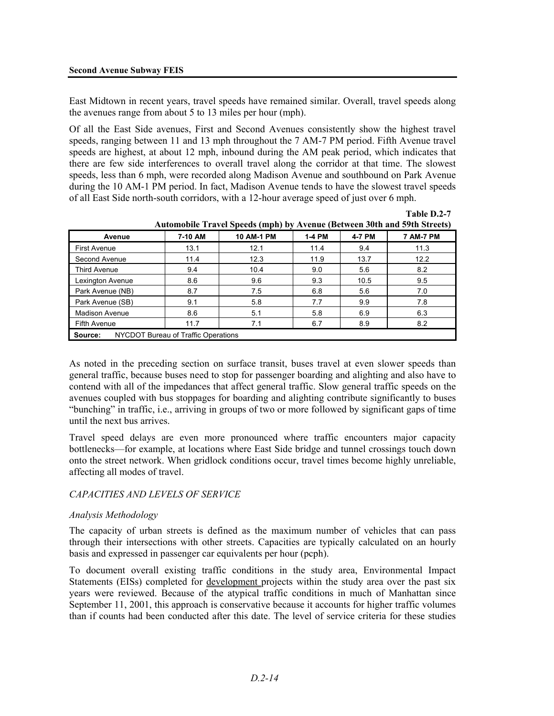East Midtown in recent years, travel speeds have remained similar. Overall, travel speeds along the avenues range from about 5 to 13 miles per hour (mph).

Of all the East Side avenues, First and Second Avenues consistently show the highest travel speeds, ranging between 11 and 13 mph throughout the 7 AM-7 PM period. Fifth Avenue travel speeds are highest, at about 12 mph, inbound during the AM peak period, which indicates that there are few side interferences to overall travel along the corridor at that time. The slowest speeds, less than 6 mph, were recorded along Madison Avenue and southbound on Park Avenue during the 10 AM-1 PM period. In fact, Madison Avenue tends to have the slowest travel speeds of all East Side north-south corridors, with a 12-hour average speed of just over 6 mph.

|                                                |         | <i>Exambine Travel Specus (mpn) by Evenue (Decween Jour and J) in Streets)</i> |        |        |                  |
|------------------------------------------------|---------|--------------------------------------------------------------------------------|--------|--------|------------------|
| Avenue                                         | 7-10 AM | 10 AM-1 PM                                                                     | 1-4 PM | 4-7 PM | <b>7 AM-7 PM</b> |
| First Avenue                                   | 13.1    | 12.1                                                                           | 11.4   | 9.4    | 11.3             |
| Second Avenue                                  | 11.4    | 12.3                                                                           | 11.9   | 13.7   | 12.2             |
| <b>Third Avenue</b>                            | 9.4     | 10.4                                                                           | 9.0    | 5.6    | 8.2              |
| Lexington Avenue                               | 8.6     | 9.6                                                                            | 9.3    | 10.5   | 9.5              |
| Park Avenue (NB)                               | 8.7     | 7.5                                                                            | 6.8    | 5.6    | 7.0              |
| Park Avenue (SB)                               | 9.1     | 5.8                                                                            | 7.7    | 9.9    | 7.8              |
| <b>Madison Avenue</b>                          | 8.6     | 5.1                                                                            | 5.8    | 6.9    | 6.3              |
| Fifth Avenue                                   | 11.7    | 7.1                                                                            | 6.7    | 8.9    | 8.2              |
| NYCDOT Bureau of Traffic Operations<br>Source: |         |                                                                                |        |        |                  |

**Automobile Travel Speeds (mph) by Avenue (Between 30th and 59th Streets)** 

**Table D.2-7**

As noted in the preceding section on surface transit, buses travel at even slower speeds than general traffic, because buses need to stop for passenger boarding and alighting and also have to contend with all of the impedances that affect general traffic. Slow general traffic speeds on the avenues coupled with bus stoppages for boarding and alighting contribute significantly to buses "bunching" in traffic, i.e., arriving in groups of two or more followed by significant gaps of time until the next bus arrives.

Travel speed delays are even more pronounced where traffic encounters major capacity bottlenecks—for example, at locations where East Side bridge and tunnel crossings touch down onto the street network. When gridlock conditions occur, travel times become highly unreliable, affecting all modes of travel.

#### *CAPACITIES AND LEVELS OF SERVICE*

#### *Analysis Methodology*

The capacity of urban streets is defined as the maximum number of vehicles that can pass through their intersections with other streets. Capacities are typically calculated on an hourly basis and expressed in passenger car equivalents per hour (pcph).

To document overall existing traffic conditions in the study area, Environmental Impact Statements (EISs) completed for development projects within the study area over the past six years were reviewed. Because of the atypical traffic conditions in much of Manhattan since September 11, 2001, this approach is conservative because it accounts for higher traffic volumes than if counts had been conducted after this date. The level of service criteria for these studies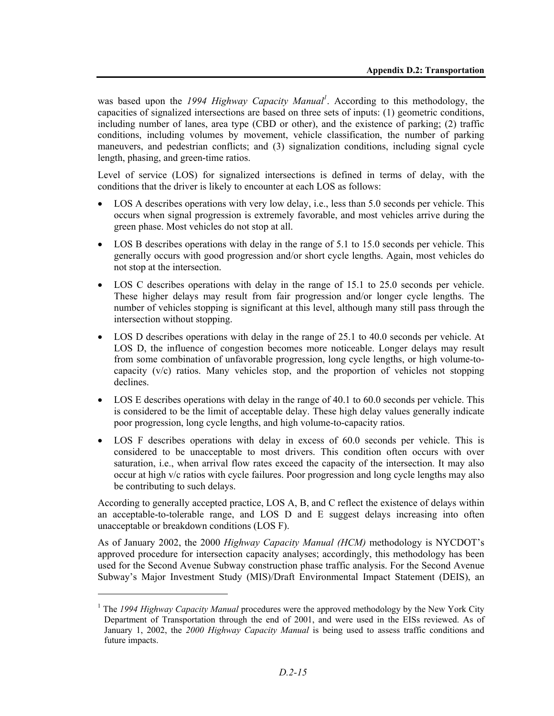was based upon the *1994 Highway Capacity Manual*<sup>1</sup>. According to this methodology, the capacities of signalized intersections are based on three sets of inputs: (1) geometric conditions, including number of lanes, area type (CBD or other), and the existence of parking; (2) traffic conditions, including volumes by movement, vehicle classification, the number of parking maneuvers, and pedestrian conflicts; and (3) signalization conditions, including signal cycle length, phasing, and green-time ratios.

Level of service (LOS) for signalized intersections is defined in terms of delay, with the conditions that the driver is likely to encounter at each LOS as follows:

- LOS A describes operations with very low delay, i.e., less than 5.0 seconds per vehicle. This occurs when signal progression is extremely favorable, and most vehicles arrive during the green phase. Most vehicles do not stop at all.
- LOS B describes operations with delay in the range of 5.1 to 15.0 seconds per vehicle. This generally occurs with good progression and/or short cycle lengths. Again, most vehicles do not stop at the intersection.
- LOS C describes operations with delay in the range of 15.1 to 25.0 seconds per vehicle. These higher delays may result from fair progression and/or longer cycle lengths. The number of vehicles stopping is significant at this level, although many still pass through the intersection without stopping.
- LOS D describes operations with delay in the range of 25.1 to 40.0 seconds per vehicle. At LOS D, the influence of congestion becomes more noticeable. Longer delays may result from some combination of unfavorable progression, long cycle lengths, or high volume-tocapacity  $(v/c)$  ratios. Many vehicles stop, and the proportion of vehicles not stopping declines.
- LOS E describes operations with delay in the range of 40.1 to 60.0 seconds per vehicle. This is considered to be the limit of acceptable delay. These high delay values generally indicate poor progression, long cycle lengths, and high volume-to-capacity ratios.
- LOS F describes operations with delay in excess of 60.0 seconds per vehicle. This is considered to be unacceptable to most drivers. This condition often occurs with over saturation, i.e., when arrival flow rates exceed the capacity of the intersection. It may also occur at high v/c ratios with cycle failures. Poor progression and long cycle lengths may also be contributing to such delays.

According to generally accepted practice, LOS A, B, and C reflect the existence of delays within an acceptable-to-tolerable range, and LOS D and E suggest delays increasing into often unacceptable or breakdown conditions (LOS F).

As of January 2002, the 2000 *Highway Capacity Manual (HCM)* methodology is NYCDOT's approved procedure for intersection capacity analyses; accordingly, this methodology has been used for the Second Avenue Subway construction phase traffic analysis. For the Second Avenue Subway's Major Investment Study (MIS)/Draft Environmental Impact Statement (DEIS), an

l

<sup>&</sup>lt;sup>1</sup> The *1994 Highway Capacity Manual* procedures were the approved methodology by the New York City Department of Transportation through the end of 2001, and were used in the EISs reviewed. As of January 1, 2002, the *2000 Highway Capacity Manual* is being used to assess traffic conditions and future impacts.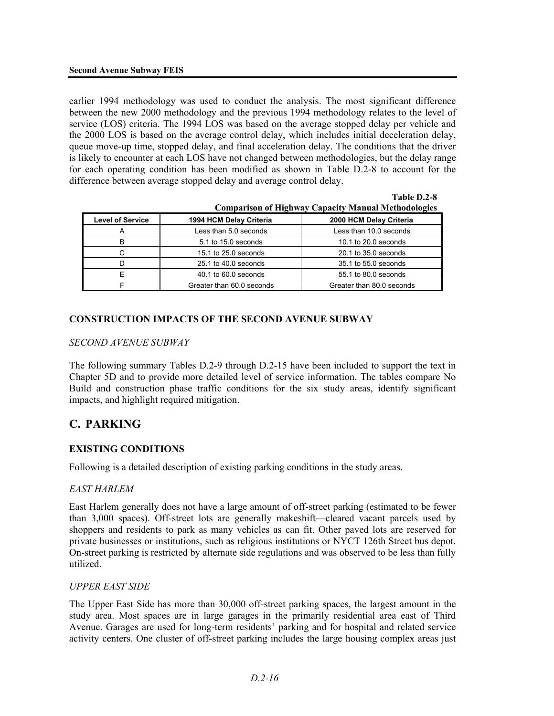earlier 1994 methodology was used to conduct the analysis. The most significant difference between the new 2000 methodology and the previous 1994 methodology relates to the level of service (LOS) criteria. The 1994 LOS was based on the average stopped delay per vehicle and the 2000 LOS is based on the average control delay, which includes initial deceleration delay, queue move-up time, stopped delay, and final acceleration delay. The conditions that the driver is likely to encounter at each LOS have not changed between methodologies, but the delay range for each operating condition has been modified as shown in Table D.2-8 to account for the difference between average stopped delay and average control delay.

| Comparison of Highway Capacity Manual Methodologies |                           |                           |  |  |
|-----------------------------------------------------|---------------------------|---------------------------|--|--|
| <b>Level of Service</b>                             | 1994 HCM Delay Criteria   | 2000 HCM Delay Criteria   |  |  |
| A                                                   | Less than 5.0 seconds     | Less than 10.0 seconds    |  |  |
| в                                                   | 5.1 to 15.0 seconds       | 10.1 to 20.0 seconds      |  |  |
| С                                                   | 15.1 to 25.0 seconds      | 20.1 to 35.0 seconds      |  |  |
|                                                     | 25.1 to 40.0 seconds      | 35.1 to 55.0 seconds      |  |  |
|                                                     | 40.1 to 60.0 seconds      | 55.1 to 80.0 seconds      |  |  |
|                                                     | Greater than 60.0 seconds | Greater than 80.0 seconds |  |  |

|  |  | 1 adie <i>1.4</i> -0                                       |
|--|--|------------------------------------------------------------|
|  |  | <b>Comparison of Highway Capacity Manual Methodologies</b> |

**Table D.2-8** 

#### **CONSTRUCTION IMPACTS OF THE SECOND AVENUE SUBWAY**

#### *SECOND AVENUE SUBWAY*

The following summary Tables D.2-9 through D.2-15 have been included to support the text in Chapter 5D and to provide more detailed level of service information. The tables compare No Build and construction phase traffic conditions for the six study areas, identify significant impacts, and highlight required mitigation.

# **C. PARKING**

#### **EXISTING CONDITIONS**

Following is a detailed description of existing parking conditions in the study areas.

#### *EAST HARLEM*

East Harlem generally does not have a large amount of off-street parking (estimated to be fewer than 3,000 spaces). Off-street lots are generally makeshift—cleared vacant parcels used by shoppers and residents to park as many vehicles as can fit. Other paved lots are reserved for private businesses or institutions, such as religious institutions or NYCT 126th Street bus depot. On-street parking is restricted by alternate side regulations and was observed to be less than fully utilized.

#### *UPPER EAST SIDE*

The Upper East Side has more than 30,000 off-street parking spaces, the largest amount in the study area. Most spaces are in large garages in the primarily residential area east of Third Avenue. Garages are used for long-term residents' parking and for hospital and related service activity centers. One cluster of off-street parking includes the large housing complex areas just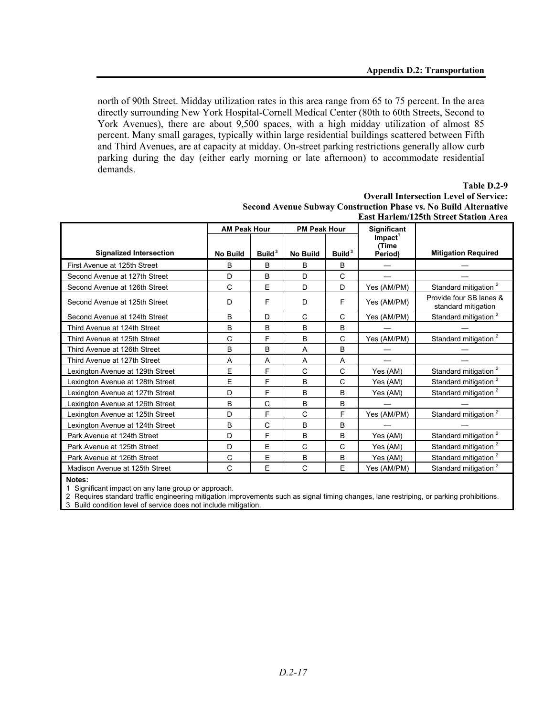north of 90th Street. Midday utilization rates in this area range from 65 to 75 percent. In the area directly surrounding New York Hospital-Cornell Medical Center (80th to 60th Streets, Second to York Avenues), there are about 9,500 spaces, with a high midday utilization of almost 85 percent. Many small garages, typically within large residential buildings scattered between Fifth and Third Avenues, are at capacity at midday. On-street parking restrictions generally allow curb parking during the day (either early morning or late afternoon) to accommodate residential demands.

#### **Table D.2-9 Overall Intersection Level of Service: Second Avenue Subway Construction Phase vs. No Build Alternative East Harlem/125th Street Station Area**

|                                  | <b>AM Peak Hour</b> |                    | <b>PM Peak Hour</b> |                    | Significant                     |                                                |
|----------------------------------|---------------------|--------------------|---------------------|--------------------|---------------------------------|------------------------------------------------|
|                                  |                     |                    |                     |                    | $Im$ pact <sup>1</sup><br>(Time |                                                |
| <b>Signalized Intersection</b>   | <b>No Build</b>     | Build <sup>3</sup> | <b>No Build</b>     | Build <sup>3</sup> | Period)                         | <b>Mitigation Required</b>                     |
| First Avenue at 125th Street     | B                   | B                  | B                   | B                  |                                 |                                                |
| Second Avenue at 127th Street    | D                   | B                  | D                   | C                  |                                 |                                                |
| Second Avenue at 126th Street    | C                   | E                  | D                   | D                  | Yes (AM/PM)                     | Standard mitigation <sup>2</sup>               |
| Second Avenue at 125th Street    | D                   | F                  | D                   | F                  | Yes (AM/PM)                     | Provide four SB lanes &<br>standard mitigation |
| Second Avenue at 124th Street    | <sub>R</sub>        | D                  | C                   | C                  | Yes (AM/PM)                     | Standard mitigation <sup>2</sup>               |
| Third Avenue at 124th Street     | B                   | B                  | B                   | B                  |                                 |                                                |
| Third Avenue at 125th Street     | C                   | F                  | B                   | C                  | Yes (AM/PM)                     | Standard mitigation <sup>2</sup>               |
| Third Avenue at 126th Street     | B                   | B                  | A                   | B                  |                                 |                                                |
| Third Avenue at 127th Street     | A                   | A                  | A                   | A                  |                                 |                                                |
| Lexington Avenue at 129th Street | E                   | F                  | C                   | C                  | Yes (AM)                        | Standard mitigation <sup>2</sup>               |
| Lexington Avenue at 128th Street | E                   | F                  | B                   | C                  | Yes (AM)                        | Standard mitigation <sup>2</sup>               |
| Lexington Avenue at 127th Street | D                   | F                  | B                   | B                  | Yes (AM)                        | Standard mitigation <sup>2</sup>               |
| Lexington Avenue at 126th Street | B                   | C                  | B                   | B                  |                                 |                                                |
| Lexington Avenue at 125th Street | D                   | F                  | C                   | F                  | Yes (AM/PM)                     | Standard mitigation <sup>2</sup>               |
| Lexington Avenue at 124th Street | B                   | Ć                  | B                   | B                  |                                 |                                                |
| Park Avenue at 124th Street      | D                   | F                  | B                   | B                  | Yes (AM)                        | Standard mitigation <sup>2</sup>               |
| Park Avenue at 125th Street      | D                   | E                  | $\mathsf{C}$        | C                  | Yes (AM)                        | Standard mitigation <sup>2</sup>               |
| Park Avenue at 126th Street      | C                   | E                  | B                   | B                  | Yes (AM)                        | Standard mitigation <sup>2</sup>               |
| Madison Avenue at 125th Street   | C                   | E                  | C                   | E                  | Yes (AM/PM)                     | Standard mitigation <sup>2</sup>               |

**Notes:** 

1 Significant impact on any lane group or approach.

2 Requires standard traffic engineering mitigation improvements such as signal timing changes, lane restriping, or parking prohibitions.

3 Build condition level of service does not include mitigation.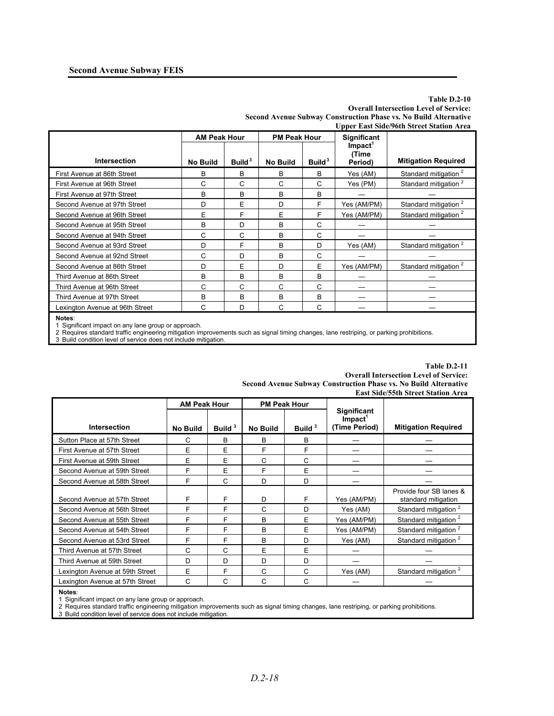#### **Table D.2-10 Overall Intersection Level of Service: Second Avenue Subway Construction Phase vs. No Build Alternative Upper East Side/96th Street Station Area**

|                                 | <b>AM Peak Hour</b> |                    | <b>PM Peak Hour</b> |                    | <b>Significant</b>                         |                                  |
|---------------------------------|---------------------|--------------------|---------------------|--------------------|--------------------------------------------|----------------------------------|
| Intersection                    | <b>No Build</b>     | Build <sup>3</sup> | <b>No Build</b>     | Build <sup>3</sup> | $Im$ pact <sup>1</sup><br>(Time<br>Period) | <b>Mitigation Required</b>       |
| First Avenue at 86th Street     | B                   | B                  | B                   | B                  | Yes (AM)                                   | Standard mitigation <sup>2</sup> |
| First Avenue at 96th Street     | C                   | С                  | C                   | C                  | Yes (PM)                                   | Standard mitigation <sup>2</sup> |
| First Avenue at 97th Street     | B                   | B                  | B                   | B                  |                                            |                                  |
| Second Avenue at 97th Street    | D                   | E                  | D                   | F                  | Yes (AM/PM)                                | Standard mitigation <sup>2</sup> |
| Second Avenue at 96th Street    | E                   | F                  | E                   | F                  | Yes (AM/PM)                                | Standard mitigation <sup>2</sup> |
| Second Avenue at 95th Street    | B                   | D                  | B                   | C                  |                                            |                                  |
| Second Avenue at 94th Street    | C                   | C                  | B                   | C                  |                                            |                                  |
| Second Avenue at 93rd Street    | D                   | F                  | B                   | D                  | Yes (AM)                                   | Standard mitigation <sup>2</sup> |
| Second Avenue at 92nd Street    | C                   | D                  | B                   | C                  |                                            |                                  |
| Second Avenue at 86th Street    | D                   | E                  | D                   | E                  | Yes (AM/PM)                                | Standard mitigation <sup>2</sup> |
| Third Avenue at 86th Street     | B                   | B                  | B                   | B                  |                                            |                                  |
| Third Avenue at 96th Street     | C                   | С                  | С                   | C                  |                                            |                                  |
| Third Avenue at 97th Street     | B                   | B                  | B                   | B                  |                                            |                                  |
| Lexington Avenue at 96th Street | C                   | D                  | C                   | C                  |                                            |                                  |
| Notes:                          |                     |                    |                     |                    |                                            |                                  |

1 Significant impact on any lane group or approach.

2 Requires standard traffic engineering mitigation improvements such as signal timing changes, lane restriping, or parking prohibitions.

3 Build condition level of service does not include mitigation.

| Second Avenue Subway Construction Phase vs. No Build Alternative<br><b>East Side/55th Street Station Area</b> |                     |                    |                 |                     |                                                               |                                                |  |  |  |
|---------------------------------------------------------------------------------------------------------------|---------------------|--------------------|-----------------|---------------------|---------------------------------------------------------------|------------------------------------------------|--|--|--|
|                                                                                                               | <b>AM Peak Hour</b> |                    |                 | <b>PM Peak Hour</b> |                                                               |                                                |  |  |  |
| <b>Intersection</b>                                                                                           | <b>No Build</b>     | Build <sup>3</sup> | <b>No Build</b> | Build <sup>3</sup>  | <b>Significant</b><br>$Im$ pact $^{\dagger}$<br>(Time Period) | <b>Mitigation Required</b>                     |  |  |  |
| Sutton Place at 57th Street                                                                                   | C                   | B                  | B               | B                   |                                                               |                                                |  |  |  |
| First Avenue at 57th Street                                                                                   | E                   | E                  | F               | F                   |                                                               |                                                |  |  |  |
| First Avenue at 59th Street                                                                                   | E                   | E                  | C               | C                   |                                                               |                                                |  |  |  |
| Second Avenue at 59th Street                                                                                  | F                   | E                  | F               | E                   |                                                               |                                                |  |  |  |
| Second Avenue at 58th Street                                                                                  | F                   | C                  | D               | D                   |                                                               |                                                |  |  |  |
| Second Avenue at 57th Street                                                                                  | F                   | F                  | D               | F                   | Yes (AM/PM)                                                   | Provide four SB lanes &<br>standard mitigation |  |  |  |
| Second Avenue at 56th Street                                                                                  | F                   | F                  | C               | D                   | Yes (AM)                                                      | Standard mitigation <sup>2</sup>               |  |  |  |
| Second Avenue at 55th Street                                                                                  | F                   | F                  | B               | E                   | Yes (AM/PM)                                                   | Standard mitigation <sup>2</sup>               |  |  |  |
| Second Avenue at 54th Street                                                                                  | F                   | F                  | <sub>R</sub>    | F                   | Yes (AM/PM)                                                   | Standard mitigation <sup>2</sup>               |  |  |  |
| Second Avenue at 53rd Street                                                                                  | F                   | F                  | B               | D                   | Yes (AM)                                                      | Standard mitigation <sup>2</sup>               |  |  |  |
| Third Avenue at 57th Street                                                                                   | C                   | C                  | E               | E                   |                                                               |                                                |  |  |  |
| Third Avenue at 59th Street                                                                                   | D                   | D                  | D               | D                   |                                                               |                                                |  |  |  |
| Lexington Avenue at 59th Street                                                                               | E                   | E                  | C               | C                   | Yes (AM)                                                      | Standard mitigation <sup>2</sup>               |  |  |  |
| Lexington Avenue at 57th Street                                                                               | C                   | C                  | C               | C                   |                                                               |                                                |  |  |  |

**Overall Intersection Level of Service:**<br> **Curation Phase vs. No Build Alternative** Second Avenue Subway Co

**Table D.2-11**

**Notes**:

1 Significant impact on any lane group or approach.

2 Requires standard traffic engineering mitigation improvements such as signal timing changes, lane restriping, or parking prohibitions.

3 Build condition level of service does not include mitigation.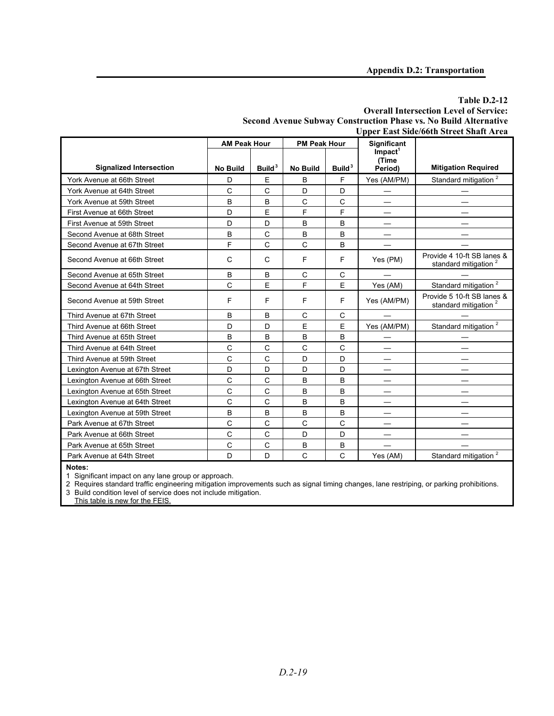#### **Table D.2-12 Overall Intersection Level of Service: Second Avenue Subway Construction Phase vs. No Build Alternative Upper East Side/66th Street Shaft Area**

|                                 | <b>AM Peak Hour</b> |                    | <b>PM Peak Hour</b> |                    | <b>Significant</b>              |                                                                |
|---------------------------------|---------------------|--------------------|---------------------|--------------------|---------------------------------|----------------------------------------------------------------|
|                                 |                     |                    |                     |                    | $Im$ pact <sup>1</sup><br>(Time |                                                                |
| <b>Signalized Intersection</b>  | <b>No Build</b>     | Build <sup>3</sup> | <b>No Build</b>     | Build <sup>3</sup> | Period)                         | <b>Mitigation Required</b>                                     |
| York Avenue at 66th Street      | D                   | E                  | B                   | F                  | Yes (AM/PM)                     | Standard mitigation <sup>2</sup>                               |
| York Avenue at 64th Street      | C                   | C                  | D                   | D                  |                                 |                                                                |
| York Avenue at 59th Street      | B                   | B                  | C                   | C                  |                                 |                                                                |
| First Avenue at 66th Street     | D                   | E                  | F                   | F                  |                                 |                                                                |
| First Avenue at 59th Street     | D                   | D                  | В                   | B                  |                                 |                                                                |
| Second Avenue at 68th Street    | B                   | C                  | B                   | B                  |                                 |                                                                |
| Second Avenue at 67th Street    | F                   | C                  | C                   | B                  |                                 |                                                                |
| Second Avenue at 66th Street    | C                   | C                  | F                   | F                  | Yes (PM)                        | Provide 4 10-ft SB lanes &<br>standard mitigation              |
| Second Avenue at 65th Street    | B                   | B                  | C                   | C                  |                                 |                                                                |
| Second Avenue at 64th Street    | C                   | E                  | F                   | E                  | Yes (AM)                        | Standard mitigation <sup>2</sup>                               |
| Second Avenue at 59th Street    | F                   | F                  | F                   | F                  | Yes (AM/PM)                     | Provide 5 10-ft SB lanes &<br>standard mitigation <sup>2</sup> |
| Third Avenue at 67th Street     | B                   | B                  | C                   | C                  |                                 |                                                                |
| Third Avenue at 66th Street     | D                   | D                  | E                   | E                  | Yes (AM/PM)                     | Standard mitigation <sup>2</sup>                               |
| Third Avenue at 65th Street     | B                   | B                  | B                   | B                  |                                 |                                                                |
| Third Avenue at 64th Street     | C                   | C                  | C                   | C                  |                                 |                                                                |
| Third Avenue at 59th Street     | C                   | C                  | D                   | D                  |                                 |                                                                |
| Lexington Avenue at 67th Street | D                   | D                  | D                   | D                  |                                 |                                                                |
| Lexington Avenue at 66th Street | C                   | C                  | B                   | B                  |                                 |                                                                |
| Lexington Avenue at 65th Street | C                   | C                  | B                   | B                  |                                 |                                                                |
| Lexington Avenue at 64th Street | C                   | C                  | B                   | B                  |                                 |                                                                |
| Lexington Avenue at 59th Street | B                   | B                  | B                   | B                  |                                 |                                                                |
| Park Avenue at 67th Street      | C                   | C                  | C                   | C                  |                                 |                                                                |
| Park Avenue at 66th Street      | C                   | C                  | D                   | D                  |                                 |                                                                |
| Park Avenue at 65th Street      | C                   | C                  | B                   | B                  |                                 |                                                                |
| Park Avenue at 64th Street      | D                   | D                  | C                   | C                  | Yes (AM)                        | Standard mitigation <sup>2</sup>                               |

**Notes:** 

1 Significant impact on any lane group or approach.

2 Requires standard traffic engineering mitigation improvements such as signal timing changes, lane restriping, or parking prohibitions.

3 Build condition level of service does not include mitigation.

This table is new for the FEIS.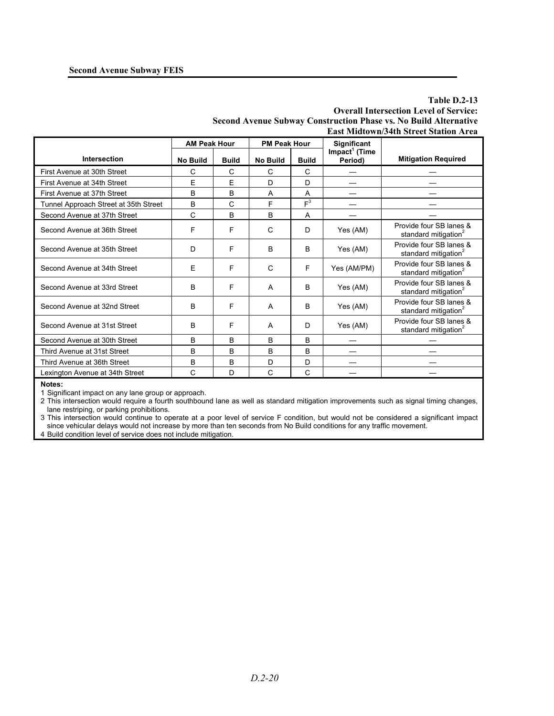#### **Table D.2-13 Overall Intersection Level of Service: Second Avenue Subway Construction Phase vs. No Build Alternative East Midtown/34th Street Station Area**

|                                       | <b>AM Peak Hour</b> |              | <b>PM Peak Hour</b> |              | <b>Significant</b>                   |                                                             |
|---------------------------------------|---------------------|--------------|---------------------|--------------|--------------------------------------|-------------------------------------------------------------|
| Intersection                          | <b>No Build</b>     | <b>Build</b> | <b>No Build</b>     | <b>Build</b> | Impact <sup>1</sup> (Time<br>Period) | <b>Mitigation Required</b>                                  |
| First Avenue at 30th Street           | C                   | C            | C                   | C            |                                      |                                                             |
| First Avenue at 34th Street           | E                   | F            | D                   | D            |                                      |                                                             |
| First Avenue at 37th Street           | B                   | B            | A                   | A            |                                      |                                                             |
| Tunnel Approach Street at 35th Street | B                   | $\mathsf{C}$ | F                   | $F^3$        |                                      |                                                             |
| Second Avenue at 37th Street          | C                   | B            | <sub>B</sub>        | A            |                                      |                                                             |
| Second Avenue at 36th Street          | F                   | F            | $\mathsf{C}$        | D            | Yes (AM)                             | Provide four SB lanes &<br>standard mitigation <sup>2</sup> |
| Second Avenue at 35th Street          | D                   | F            | B                   | B            | Yes (AM)                             | Provide four SB lanes &<br>standard mitigation <sup>2</sup> |
| Second Avenue at 34th Street          | E                   | F            | C                   | F            | Yes (AM/PM)                          | Provide four SB lanes &<br>standard mitigation <sup>2</sup> |
| Second Avenue at 33rd Street          | B                   | F            | A                   | B            | Yes (AM)                             | Provide four SB lanes &<br>standard mitigation <sup>2</sup> |
| Second Avenue at 32nd Street          | B                   | F            | A                   | B            | Yes (AM)                             | Provide four SB lanes &<br>standard mitigation <sup>2</sup> |
| Second Avenue at 31st Street          | B                   | F            | A                   | D            | Yes (AM)                             | Provide four SB lanes &<br>standard mitigation <sup>2</sup> |
| Second Avenue at 30th Street          | B                   | B            | B                   | B            |                                      |                                                             |
| Third Avenue at 31st Street           | B                   | B            | B                   | B            |                                      |                                                             |
| Third Avenue at 36th Street           | B                   | B            | D                   | D            |                                      |                                                             |
| Lexington Avenue at 34th Street       | C                   | D            | $\mathsf{C}$        | C            |                                      |                                                             |
| $\mathbf{M}$ and $\mathbf{M}$         |                     |              |                     |              |                                      |                                                             |

**Notes:** 

1 Significant impact on any lane group or approach.

2 This intersection would require a fourth southbound lane as well as standard mitigation improvements such as signal timing changes, lane restriping, or parking prohibitions.

3 This intersection would continue to operate at a poor level of service F condition, but would not be considered a significant impact since vehicular delays would not increase by more than ten seconds from No Build conditions for any traffic movement.

4 Build condition level of service does not include mitigation.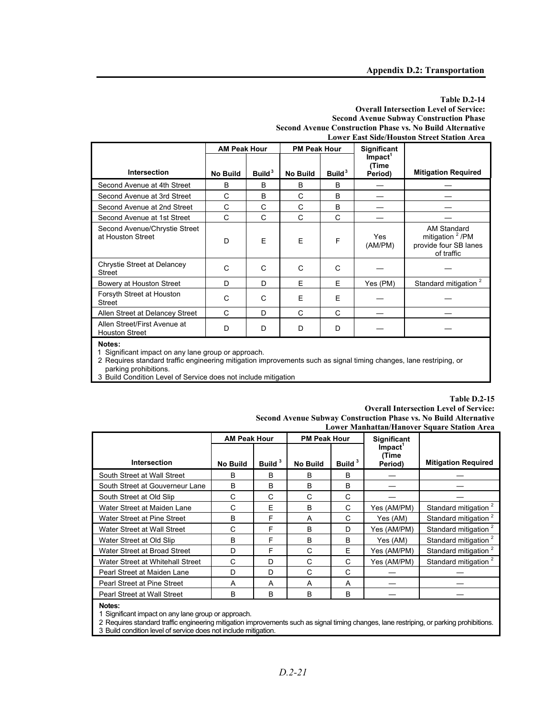#### **Table D.2-14 Overall Intersection Level of Service: Second Avenue Subway Construction Phase Second Avenue Construction Phase vs. No Build Alternative Lower East Side/Houston Street Station Area**

|                                                       | <b>AM Peak Hour</b><br><b>PM Peak Hour</b> |                    | <b>Significant</b> |                    |                                         |                                                                                   |
|-------------------------------------------------------|--------------------------------------------|--------------------|--------------------|--------------------|-----------------------------------------|-----------------------------------------------------------------------------------|
| <b>Intersection</b>                                   | <b>No Build</b>                            | Build <sup>3</sup> | <b>No Build</b>    | Build <sup>3</sup> | Impact <sup>1</sup><br>(Time<br>Period) | <b>Mitigation Required</b>                                                        |
| Second Avenue at 4th Street                           | B                                          | B                  | B                  | B                  |                                         |                                                                                   |
| Second Avenue at 3rd Street                           | C                                          | B                  | C                  | в                  |                                         |                                                                                   |
| Second Avenue at 2nd Street                           | C                                          | C                  | C                  | B                  |                                         |                                                                                   |
| Second Avenue at 1st Street                           | C                                          | C                  | C                  | C                  |                                         |                                                                                   |
| Second Avenue/Chrystie Street<br>at Houston Street    | D                                          | E                  | F                  | F                  | Yes<br>(AM/PM)                          | AM Standard<br>mitigation <sup>2</sup> /PM<br>provide four SB lanes<br>of traffic |
| Chrystie Street at Delancey<br>Street                 | C                                          | C                  | C                  | C                  |                                         |                                                                                   |
| Bowery at Houston Street                              | D                                          | D                  | F                  | F                  | Yes (PM)                                | Standard mitigation <sup>2</sup>                                                  |
| Forsyth Street at Houston<br><b>Street</b>            | C                                          | C                  | E                  | F                  |                                         |                                                                                   |
| Allen Street at Delancey Street                       | C                                          | D                  | C                  | C                  |                                         |                                                                                   |
| Allen Street/First Avenue at<br><b>Houston Street</b> | D                                          | D                  | D                  | D                  |                                         |                                                                                   |
|                                                       |                                            |                    |                    |                    |                                         |                                                                                   |

**Notes:** 

1 Significant impact on any lane group or approach.

2 Requires standard traffic engineering mitigation improvements such as signal timing changes, lane restriping, or parking prohibitions.

3 Build Condition Level of Service does not include mitigation

#### **Table D.2-15 Overall Intersection Level of Service: Second Avenue Subway Construction Phase vs. No Build Alternative Lower Manhattan/Hanover Square Station Area**

|                                  | <b>AM Peak Hour</b><br><b>PM Peak Hour</b> |                    |                 | <b>Significant</b> | помет машпанаш/папомет эдиаге энапоп тегеа |                                  |
|----------------------------------|--------------------------------------------|--------------------|-----------------|--------------------|--------------------------------------------|----------------------------------|
| <b>Intersection</b>              | <b>No Build</b>                            | Build <sup>3</sup> | <b>No Build</b> | Build <sup>3</sup> | $Im$ pact <sup>1</sup><br>(Time<br>Period) | <b>Mitigation Required</b>       |
| South Street at Wall Street      | R                                          | в                  | <sub>R</sub>    | B                  |                                            |                                  |
| South Street at Gouverneur Lane  | B                                          | B                  | B               | B                  |                                            |                                  |
| South Street at Old Slip         | C                                          | C                  | C               | C                  |                                            |                                  |
| Water Street at Maiden Lane      | C                                          | E                  | <sub>R</sub>    | C                  | Yes (AM/PM)                                | Standard mitigation <sup>2</sup> |
| Water Street at Pine Street      | B                                          | F                  | A               | C                  | Yes (AM)                                   | Standard mitigation <sup>2</sup> |
| Water Street at Wall Street      | C                                          | F                  | <sub>B</sub>    | D                  | Yes (AM/PM)                                | Standard mitigation <sup>2</sup> |
| Water Street at Old Slip         | <sub>B</sub>                               | F                  | <sub>R</sub>    | B                  | Yes (AM)                                   | Standard mitigation <sup>2</sup> |
| Water Street at Broad Street     | D                                          | F                  | C               | E                  | Yes (AM/PM)                                | Standard mitigation <sup>2</sup> |
| Water Street at Whitehall Street | C                                          | D                  | C               | C                  | Yes (AM/PM)                                | Standard mitigation <sup>2</sup> |
| Pearl Street at Maiden Lane      | D                                          | D                  | C               | C                  |                                            |                                  |
| Pearl Street at Pine Street      | A                                          | A                  | A               | A                  |                                            |                                  |
| Pearl Street at Wall Street      | В                                          | B                  | B               | B                  |                                            |                                  |
| Notes:                           |                                            |                    |                 |                    |                                            |                                  |

1 Significant impact on any lane group or approach.

2 Requires standard traffic engineering mitigation improvements such as signal timing changes, lane restriping, or parking prohibitions.

3 Build condition level of service does not include mitigation.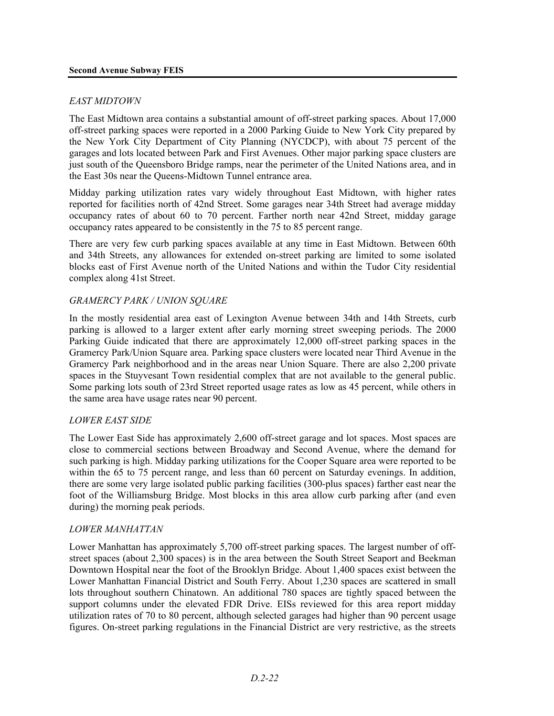#### *EAST MIDTOWN*

The East Midtown area contains a substantial amount of off-street parking spaces. About 17,000 off-street parking spaces were reported in a 2000 Parking Guide to New York City prepared by the New York City Department of City Planning (NYCDCP), with about 75 percent of the garages and lots located between Park and First Avenues. Other major parking space clusters are just south of the Queensboro Bridge ramps, near the perimeter of the United Nations area, and in the East 30s near the Queens-Midtown Tunnel entrance area.

Midday parking utilization rates vary widely throughout East Midtown, with higher rates reported for facilities north of 42nd Street. Some garages near 34th Street had average midday occupancy rates of about 60 to 70 percent. Farther north near 42nd Street, midday garage occupancy rates appeared to be consistently in the 75 to 85 percent range.

There are very few curb parking spaces available at any time in East Midtown. Between 60th and 34th Streets, any allowances for extended on-street parking are limited to some isolated blocks east of First Avenue north of the United Nations and within the Tudor City residential complex along 41st Street.

#### *GRAMERCY PARK / UNION SQUARE*

In the mostly residential area east of Lexington Avenue between 34th and 14th Streets, curb parking is allowed to a larger extent after early morning street sweeping periods. The 2000 Parking Guide indicated that there are approximately 12,000 off-street parking spaces in the Gramercy Park/Union Square area. Parking space clusters were located near Third Avenue in the Gramercy Park neighborhood and in the areas near Union Square. There are also 2,200 private spaces in the Stuyvesant Town residential complex that are not available to the general public. Some parking lots south of 23rd Street reported usage rates as low as 45 percent, while others in the same area have usage rates near 90 percent.

#### *LOWER EAST SIDE*

The Lower East Side has approximately 2,600 off-street garage and lot spaces. Most spaces are close to commercial sections between Broadway and Second Avenue, where the demand for such parking is high. Midday parking utilizations for the Cooper Square area were reported to be within the 65 to 75 percent range, and less than 60 percent on Saturday evenings. In addition, there are some very large isolated public parking facilities (300-plus spaces) farther east near the foot of the Williamsburg Bridge. Most blocks in this area allow curb parking after (and even during) the morning peak periods.

#### *LOWER MANHATTAN*

Lower Manhattan has approximately 5,700 off-street parking spaces. The largest number of offstreet spaces (about 2,300 spaces) is in the area between the South Street Seaport and Beekman Downtown Hospital near the foot of the Brooklyn Bridge. About 1,400 spaces exist between the Lower Manhattan Financial District and South Ferry. About 1,230 spaces are scattered in small lots throughout southern Chinatown. An additional 780 spaces are tightly spaced between the support columns under the elevated FDR Drive. EISs reviewed for this area report midday utilization rates of 70 to 80 percent, although selected garages had higher than 90 percent usage figures. On-street parking regulations in the Financial District are very restrictive, as the streets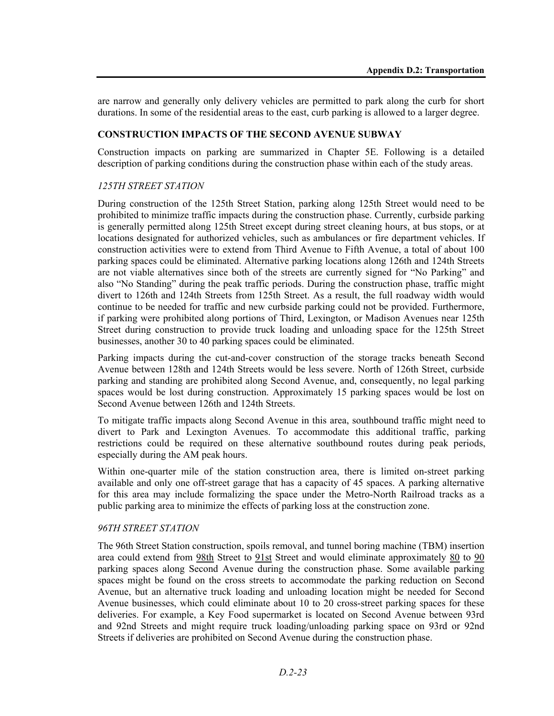are narrow and generally only delivery vehicles are permitted to park along the curb for short durations. In some of the residential areas to the east, curb parking is allowed to a larger degree.

## **CONSTRUCTION IMPACTS OF THE SECOND AVENUE SUBWAY**

Construction impacts on parking are summarized in Chapter 5E. Following is a detailed description of parking conditions during the construction phase within each of the study areas.

#### *125TH STREET STATION*

During construction of the 125th Street Station, parking along 125th Street would need to be prohibited to minimize traffic impacts during the construction phase. Currently, curbside parking is generally permitted along 125th Street except during street cleaning hours, at bus stops, or at locations designated for authorized vehicles, such as ambulances or fire department vehicles. If construction activities were to extend from Third Avenue to Fifth Avenue, a total of about 100 parking spaces could be eliminated. Alternative parking locations along 126th and 124th Streets are not viable alternatives since both of the streets are currently signed for "No Parking" and also "No Standing" during the peak traffic periods. During the construction phase, traffic might divert to 126th and 124th Streets from 125th Street. As a result, the full roadway width would continue to be needed for traffic and new curbside parking could not be provided. Furthermore, if parking were prohibited along portions of Third, Lexington, or Madison Avenues near 125th Street during construction to provide truck loading and unloading space for the 125th Street businesses, another 30 to 40 parking spaces could be eliminated.

Parking impacts during the cut-and-cover construction of the storage tracks beneath Second Avenue between 128th and 124th Streets would be less severe. North of 126th Street, curbside parking and standing are prohibited along Second Avenue, and, consequently, no legal parking spaces would be lost during construction. Approximately 15 parking spaces would be lost on Second Avenue between 126th and 124th Streets.

To mitigate traffic impacts along Second Avenue in this area, southbound traffic might need to divert to Park and Lexington Avenues. To accommodate this additional traffic, parking restrictions could be required on these alternative southbound routes during peak periods, especially during the AM peak hours.

Within one-quarter mile of the station construction area, there is limited on-street parking available and only one off-street garage that has a capacity of 45 spaces. A parking alternative for this area may include formalizing the space under the Metro-North Railroad tracks as a public parking area to minimize the effects of parking loss at the construction zone.

#### *96TH STREET STATION*

The 96th Street Station construction, spoils removal, and tunnel boring machine (TBM) insertion area could extend from 98th Street to 91st Street and would eliminate approximately 80 to 90 parking spaces along Second Avenue during the construction phase. Some available parking spaces might be found on the cross streets to accommodate the parking reduction on Second Avenue, but an alternative truck loading and unloading location might be needed for Second Avenue businesses, which could eliminate about 10 to 20 cross-street parking spaces for these deliveries. For example, a Key Food supermarket is located on Second Avenue between 93rd and 92nd Streets and might require truck loading/unloading parking space on 93rd or 92nd Streets if deliveries are prohibited on Second Avenue during the construction phase.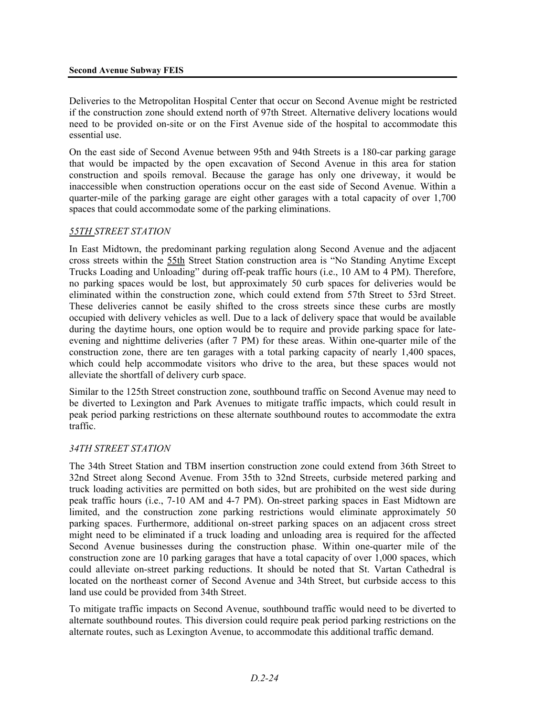#### **Second Avenue Subway FEIS**

Deliveries to the Metropolitan Hospital Center that occur on Second Avenue might be restricted if the construction zone should extend north of 97th Street. Alternative delivery locations would need to be provided on-site or on the First Avenue side of the hospital to accommodate this essential use.

On the east side of Second Avenue between 95th and 94th Streets is a 180-car parking garage that would be impacted by the open excavation of Second Avenue in this area for station construction and spoils removal. Because the garage has only one driveway, it would be inaccessible when construction operations occur on the east side of Second Avenue. Within a quarter-mile of the parking garage are eight other garages with a total capacity of over 1,700 spaces that could accommodate some of the parking eliminations.

#### *55TH STREET STATION*

In East Midtown, the predominant parking regulation along Second Avenue and the adjacent cross streets within the 55th Street Station construction area is "No Standing Anytime Except Trucks Loading and Unloading" during off-peak traffic hours (i.e., 10 AM to 4 PM). Therefore, no parking spaces would be lost, but approximately 50 curb spaces for deliveries would be eliminated within the construction zone, which could extend from 57th Street to 53rd Street. These deliveries cannot be easily shifted to the cross streets since these curbs are mostly occupied with delivery vehicles as well. Due to a lack of delivery space that would be available during the daytime hours, one option would be to require and provide parking space for lateevening and nighttime deliveries (after 7 PM) for these areas. Within one-quarter mile of the construction zone, there are ten garages with a total parking capacity of nearly 1,400 spaces, which could help accommodate visitors who drive to the area, but these spaces would not alleviate the shortfall of delivery curb space.

Similar to the 125th Street construction zone, southbound traffic on Second Avenue may need to be diverted to Lexington and Park Avenues to mitigate traffic impacts, which could result in peak period parking restrictions on these alternate southbound routes to accommodate the extra traffic.

#### *34TH STREET STATION*

The 34th Street Station and TBM insertion construction zone could extend from 36th Street to 32nd Street along Second Avenue. From 35th to 32nd Streets, curbside metered parking and truck loading activities are permitted on both sides, but are prohibited on the west side during peak traffic hours (i.e., 7-10 AM and 4-7 PM). On-street parking spaces in East Midtown are limited, and the construction zone parking restrictions would eliminate approximately 50 parking spaces. Furthermore, additional on-street parking spaces on an adjacent cross street might need to be eliminated if a truck loading and unloading area is required for the affected Second Avenue businesses during the construction phase. Within one-quarter mile of the construction zone are 10 parking garages that have a total capacity of over  $1,000$  spaces, which could alleviate on-street parking reductions. It should be noted that St. Vartan Cathedral is located on the northeast corner of Second Avenue and 34th Street, but curbside access to this land use could be provided from 34th Street.

To mitigate traffic impacts on Second Avenue, southbound traffic would need to be diverted to alternate southbound routes. This diversion could require peak period parking restrictions on the alternate routes, such as Lexington Avenue, to accommodate this additional traffic demand.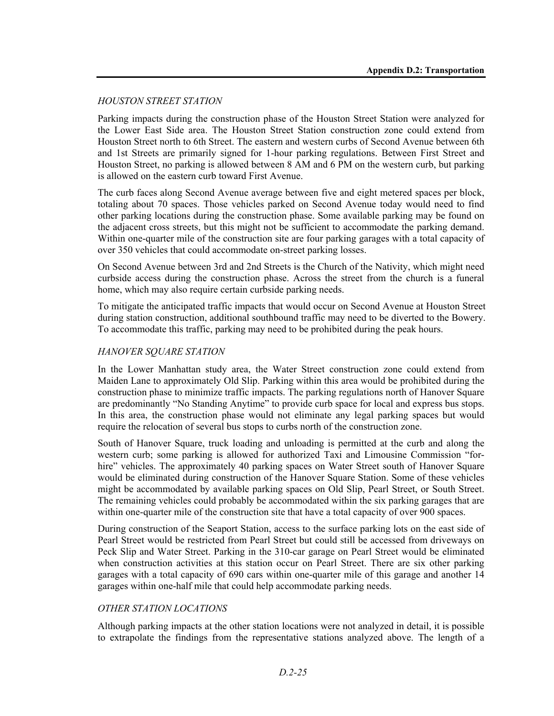#### *HOUSTON STREET STATION*

Parking impacts during the construction phase of the Houston Street Station were analyzed for the Lower East Side area. The Houston Street Station construction zone could extend from Houston Street north to 6th Street. The eastern and western curbs of Second Avenue between 6th and 1st Streets are primarily signed for 1-hour parking regulations. Between First Street and Houston Street, no parking is allowed between 8 AM and 6 PM on the western curb, but parking is allowed on the eastern curb toward First Avenue.

The curb faces along Second Avenue average between five and eight metered spaces per block, totaling about 70 spaces. Those vehicles parked on Second Avenue today would need to find other parking locations during the construction phase. Some available parking may be found on the adjacent cross streets, but this might not be sufficient to accommodate the parking demand. Within one-quarter mile of the construction site are four parking garages with a total capacity of over 350 vehicles that could accommodate on-street parking losses.

On Second Avenue between 3rd and 2nd Streets is the Church of the Nativity, which might need curbside access during the construction phase. Across the street from the church is a funeral home, which may also require certain curbside parking needs.

To mitigate the anticipated traffic impacts that would occur on Second Avenue at Houston Street during station construction, additional southbound traffic may need to be diverted to the Bowery. To accommodate this traffic, parking may need to be prohibited during the peak hours.

#### *HANOVER SQUARE STATION*

In the Lower Manhattan study area, the Water Street construction zone could extend from Maiden Lane to approximately Old Slip. Parking within this area would be prohibited during the construction phase to minimize traffic impacts. The parking regulations north of Hanover Square are predominantly "No Standing Anytime" to provide curb space for local and express bus stops. In this area, the construction phase would not eliminate any legal parking spaces but would require the relocation of several bus stops to curbs north of the construction zone.

South of Hanover Square, truck loading and unloading is permitted at the curb and along the western curb; some parking is allowed for authorized Taxi and Limousine Commission "forhire" vehicles. The approximately 40 parking spaces on Water Street south of Hanover Square would be eliminated during construction of the Hanover Square Station. Some of these vehicles might be accommodated by available parking spaces on Old Slip, Pearl Street, or South Street. The remaining vehicles could probably be accommodated within the six parking garages that are within one-quarter mile of the construction site that have a total capacity of over 900 spaces.

During construction of the Seaport Station, access to the surface parking lots on the east side of Pearl Street would be restricted from Pearl Street but could still be accessed from driveways on Peck Slip and Water Street. Parking in the 310-car garage on Pearl Street would be eliminated when construction activities at this station occur on Pearl Street. There are six other parking garages with a total capacity of 690 cars within one-quarter mile of this garage and another 14 garages within one-half mile that could help accommodate parking needs.

#### *OTHER STATION LOCATIONS*

Although parking impacts at the other station locations were not analyzed in detail, it is possible to extrapolate the findings from the representative stations analyzed above. The length of a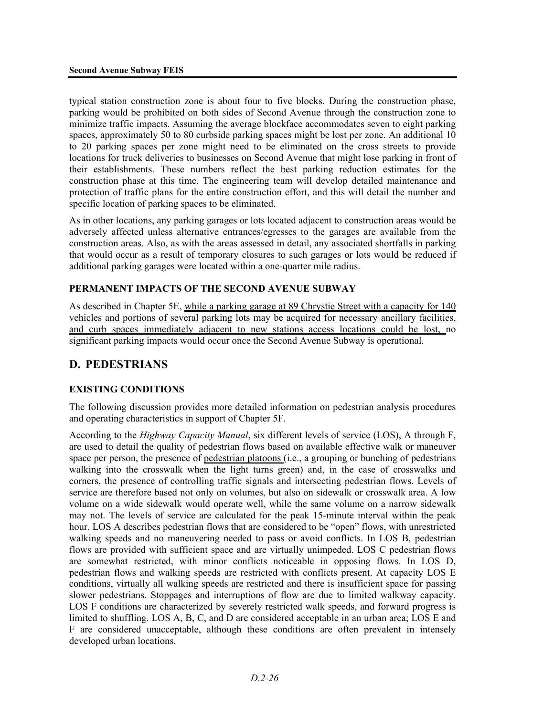typical station construction zone is about four to five blocks. During the construction phase, parking would be prohibited on both sides of Second Avenue through the construction zone to minimize traffic impacts. Assuming the average blockface accommodates seven to eight parking spaces, approximately 50 to 80 curbside parking spaces might be lost per zone. An additional 10 to 20 parking spaces per zone might need to be eliminated on the cross streets to provide locations for truck deliveries to businesses on Second Avenue that might lose parking in front of their establishments. These numbers reflect the best parking reduction estimates for the construction phase at this time. The engineering team will develop detailed maintenance and protection of traffic plans for the entire construction effort, and this will detail the number and specific location of parking spaces to be eliminated.

As in other locations, any parking garages or lots located adjacent to construction areas would be adversely affected unless alternative entrances/egresses to the garages are available from the construction areas. Also, as with the areas assessed in detail, any associated shortfalls in parking that would occur as a result of temporary closures to such garages or lots would be reduced if additional parking garages were located within a one-quarter mile radius.

#### **PERMANENT IMPACTS OF THE SECOND AVENUE SUBWAY**

As described in Chapter 5E, while a parking garage at 89 Chrystie Street with a capacity for 140 vehicles and portions of several parking lots may be acquired for necessary ancillary facilities, and curb spaces immediately adjacent to new stations access locations could be lost, no significant parking impacts would occur once the Second Avenue Subway is operational.

## **D. PEDESTRIANS**

## **EXISTING CONDITIONS**

The following discussion provides more detailed information on pedestrian analysis procedures and operating characteristics in support of Chapter 5F.

According to the *Highway Capacity Manual*, six different levels of service (LOS), A through F, are used to detail the quality of pedestrian flows based on available effective walk or maneuver space per person, the presence of pedestrian platoons (i.e., a grouping or bunching of pedestrians walking into the crosswalk when the light turns green) and, in the case of crosswalks and corners, the presence of controlling traffic signals and intersecting pedestrian flows. Levels of service are therefore based not only on volumes, but also on sidewalk or crosswalk area. A low volume on a wide sidewalk would operate well, while the same volume on a narrow sidewalk may not. The levels of service are calculated for the peak 15-minute interval within the peak hour. LOS A describes pedestrian flows that are considered to be "open" flows, with unrestricted walking speeds and no maneuvering needed to pass or avoid conflicts. In LOS B, pedestrian flows are provided with sufficient space and are virtually unimpeded. LOS C pedestrian flows are somewhat restricted, with minor conflicts noticeable in opposing flows. In LOS D, pedestrian flows and walking speeds are restricted with conflicts present. At capacity LOS E conditions, virtually all walking speeds are restricted and there is insufficient space for passing slower pedestrians. Stoppages and interruptions of flow are due to limited walkway capacity. LOS F conditions are characterized by severely restricted walk speeds, and forward progress is limited to shuffling. LOS A, B, C, and D are considered acceptable in an urban area; LOS E and F are considered unacceptable, although these conditions are often prevalent in intensely developed urban locations.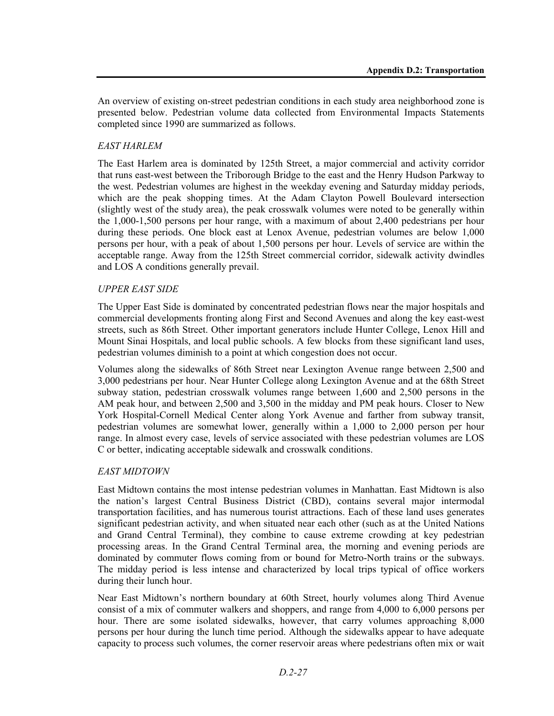An overview of existing on-street pedestrian conditions in each study area neighborhood zone is presented below. Pedestrian volume data collected from Environmental Impacts Statements completed since 1990 are summarized as follows.

#### *EAST HARLEM*

The East Harlem area is dominated by 125th Street, a major commercial and activity corridor that runs east-west between the Triborough Bridge to the east and the Henry Hudson Parkway to the west. Pedestrian volumes are highest in the weekday evening and Saturday midday periods, which are the peak shopping times. At the Adam Clayton Powell Boulevard intersection (slightly west of the study area), the peak crosswalk volumes were noted to be generally within the 1,000-1,500 persons per hour range, with a maximum of about 2,400 pedestrians per hour during these periods. One block east at Lenox Avenue, pedestrian volumes are below 1,000 persons per hour, with a peak of about 1,500 persons per hour. Levels of service are within the acceptable range. Away from the 125th Street commercial corridor, sidewalk activity dwindles and LOS A conditions generally prevail.

#### *UPPER EAST SIDE*

The Upper East Side is dominated by concentrated pedestrian flows near the major hospitals and commercial developments fronting along First and Second Avenues and along the key east-west streets, such as 86th Street. Other important generators include Hunter College, Lenox Hill and Mount Sinai Hospitals, and local public schools. A few blocks from these significant land uses, pedestrian volumes diminish to a point at which congestion does not occur.

Volumes along the sidewalks of 86th Street near Lexington Avenue range between 2,500 and 3,000 pedestrians per hour. Near Hunter College along Lexington Avenue and at the 68th Street subway station, pedestrian crosswalk volumes range between 1,600 and 2,500 persons in the AM peak hour, and between 2,500 and 3,500 in the midday and PM peak hours. Closer to New York Hospital-Cornell Medical Center along York Avenue and farther from subway transit, pedestrian volumes are somewhat lower, generally within a 1,000 to 2,000 person per hour range. In almost every case, levels of service associated with these pedestrian volumes are LOS C or better, indicating acceptable sidewalk and crosswalk conditions.

#### *EAST MIDTOWN*

East Midtown contains the most intense pedestrian volumes in Manhattan. East Midtown is also the nation's largest Central Business District (CBD), contains several major intermodal transportation facilities, and has numerous tourist attractions. Each of these land uses generates significant pedestrian activity, and when situated near each other (such as at the United Nations and Grand Central Terminal), they combine to cause extreme crowding at key pedestrian processing areas. In the Grand Central Terminal area, the morning and evening periods are dominated by commuter flows coming from or bound for Metro-North trains or the subways. The midday period is less intense and characterized by local trips typical of office workers during their lunch hour.

Near East Midtown's northern boundary at 60th Street, hourly volumes along Third Avenue consist of a mix of commuter walkers and shoppers, and range from 4,000 to 6,000 persons per hour. There are some isolated sidewalks, however, that carry volumes approaching 8,000 persons per hour during the lunch time period. Although the sidewalks appear to have adequate capacity to process such volumes, the corner reservoir areas where pedestrians often mix or wait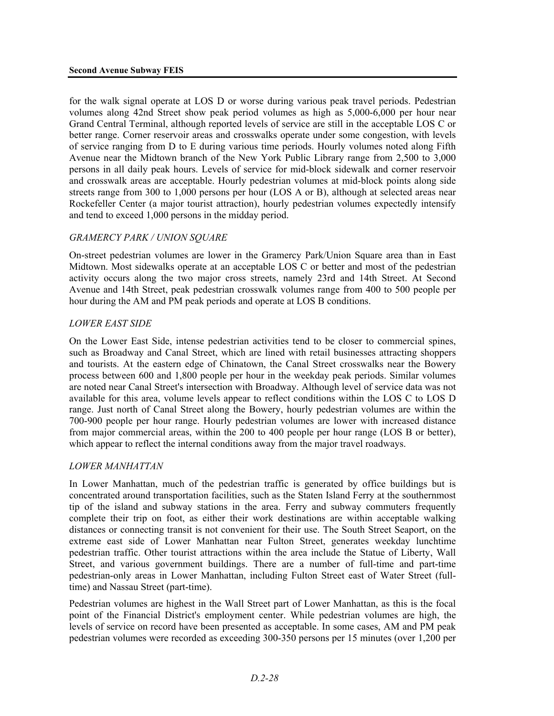for the walk signal operate at LOS D or worse during various peak travel periods. Pedestrian volumes along 42nd Street show peak period volumes as high as 5,000-6,000 per hour near Grand Central Terminal, although reported levels of service are still in the acceptable LOS C or better range. Corner reservoir areas and crosswalks operate under some congestion, with levels of service ranging from D to E during various time periods. Hourly volumes noted along Fifth Avenue near the Midtown branch of the New York Public Library range from 2,500 to 3,000 persons in all daily peak hours. Levels of service for mid-block sidewalk and corner reservoir and crosswalk areas are acceptable. Hourly pedestrian volumes at mid-block points along side streets range from 300 to 1,000 persons per hour (LOS A or B), although at selected areas near Rockefeller Center (a major tourist attraction), hourly pedestrian volumes expectedly intensify and tend to exceed 1,000 persons in the midday period.

#### *GRAMERCY PARK / UNION SQUARE*

On-street pedestrian volumes are lower in the Gramercy Park/Union Square area than in East Midtown. Most sidewalks operate at an acceptable LOS C or better and most of the pedestrian activity occurs along the two major cross streets, namely 23rd and 14th Street. At Second Avenue and 14th Street, peak pedestrian crosswalk volumes range from 400 to 500 people per hour during the AM and PM peak periods and operate at LOS B conditions.

#### *LOWER EAST SIDE*

On the Lower East Side, intense pedestrian activities tend to be closer to commercial spines, such as Broadway and Canal Street, which are lined with retail businesses attracting shoppers and tourists. At the eastern edge of Chinatown, the Canal Street crosswalks near the Bowery process between 600 and 1,800 people per hour in the weekday peak periods. Similar volumes are noted near Canal Street's intersection with Broadway. Although level of service data was not available for this area, volume levels appear to reflect conditions within the LOS C to LOS D range. Just north of Canal Street along the Bowery, hourly pedestrian volumes are within the 700-900 people per hour range. Hourly pedestrian volumes are lower with increased distance from major commercial areas, within the 200 to 400 people per hour range (LOS B or better), which appear to reflect the internal conditions away from the major travel roadways.

#### *LOWER MANHATTAN*

In Lower Manhattan, much of the pedestrian traffic is generated by office buildings but is concentrated around transportation facilities, such as the Staten Island Ferry at the southernmost tip of the island and subway stations in the area. Ferry and subway commuters frequently complete their trip on foot, as either their work destinations are within acceptable walking distances or connecting transit is not convenient for their use. The South Street Seaport, on the extreme east side of Lower Manhattan near Fulton Street, generates weekday lunchtime pedestrian traffic. Other tourist attractions within the area include the Statue of Liberty, Wall Street, and various government buildings. There are a number of full-time and part-time pedestrian-only areas in Lower Manhattan, including Fulton Street east of Water Street (fulltime) and Nassau Street (part-time).

Pedestrian volumes are highest in the Wall Street part of Lower Manhattan, as this is the focal point of the Financial District's employment center. While pedestrian volumes are high, the levels of service on record have been presented as acceptable. In some cases, AM and PM peak pedestrian volumes were recorded as exceeding 300-350 persons per 15 minutes (over 1,200 per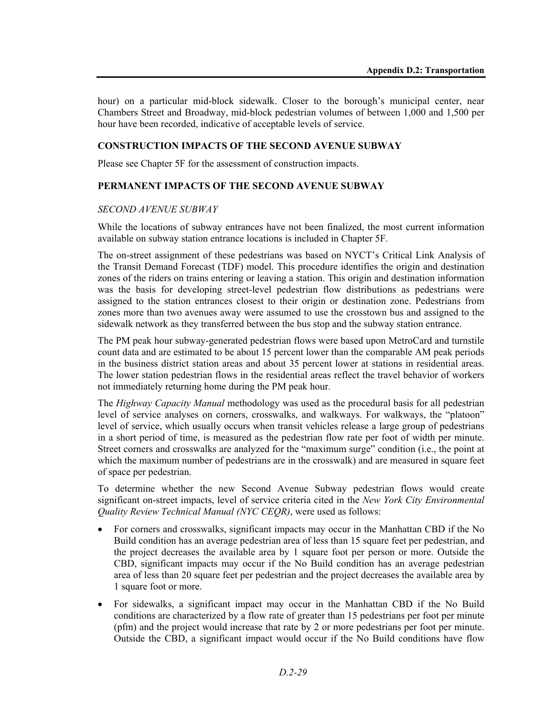hour) on a particular mid-block sidewalk. Closer to the borough's municipal center, near Chambers Street and Broadway, mid-block pedestrian volumes of between 1,000 and 1,500 per hour have been recorded, indicative of acceptable levels of service.

#### **CONSTRUCTION IMPACTS OF THE SECOND AVENUE SUBWAY**

Please see Chapter 5F for the assessment of construction impacts.

#### **PERMANENT IMPACTS OF THE SECOND AVENUE SUBWAY**

#### *SECOND AVENUE SUBWAY*

While the locations of subway entrances have not been finalized, the most current information available on subway station entrance locations is included in Chapter 5F.

The on-street assignment of these pedestrians was based on NYCT's Critical Link Analysis of the Transit Demand Forecast (TDF) model. This procedure identifies the origin and destination zones of the riders on trains entering or leaving a station. This origin and destination information was the basis for developing street-level pedestrian flow distributions as pedestrians were assigned to the station entrances closest to their origin or destination zone. Pedestrians from zones more than two avenues away were assumed to use the crosstown bus and assigned to the sidewalk network as they transferred between the bus stop and the subway station entrance.

The PM peak hour subway-generated pedestrian flows were based upon MetroCard and turnstile count data and are estimated to be about 15 percent lower than the comparable AM peak periods in the business district station areas and about 35 percent lower at stations in residential areas. The lower station pedestrian flows in the residential areas reflect the travel behavior of workers not immediately returning home during the PM peak hour.

The *Highway Capacity Manual* methodology was used as the procedural basis for all pedestrian level of service analyses on corners, crosswalks, and walkways. For walkways, the "platoon" level of service, which usually occurs when transit vehicles release a large group of pedestrians in a short period of time, is measured as the pedestrian flow rate per foot of width per minute. Street corners and crosswalks are analyzed for the "maximum surge" condition (i.e., the point at which the maximum number of pedestrians are in the crosswalk) and are measured in square feet of space per pedestrian.

To determine whether the new Second Avenue Subway pedestrian flows would create significant on-street impacts, level of service criteria cited in the *New York City Environmental Quality Review Technical Manual (NYC CEQR)*, were used as follows:

- For corners and crosswalks, significant impacts may occur in the Manhattan CBD if the No Build condition has an average pedestrian area of less than 15 square feet per pedestrian, and the project decreases the available area by 1 square foot per person or more. Outside the CBD, significant impacts may occur if the No Build condition has an average pedestrian area of less than 20 square feet per pedestrian and the project decreases the available area by 1 square foot or more.
- For sidewalks, a significant impact may occur in the Manhattan CBD if the No Build conditions are characterized by a flow rate of greater than 15 pedestrians per foot per minute (pfm) and the project would increase that rate by 2 or more pedestrians per foot per minute. Outside the CBD, a significant impact would occur if the No Build conditions have flow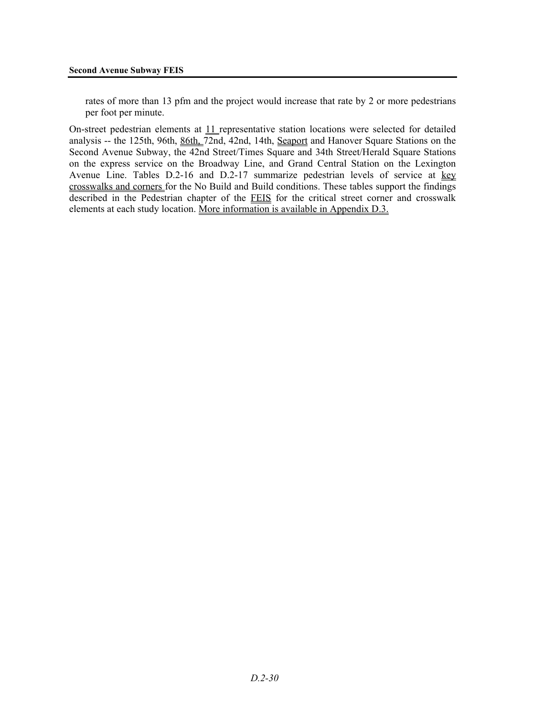rates of more than 13 pfm and the project would increase that rate by 2 or more pedestrians per foot per minute.

On-street pedestrian elements at 11 representative station locations were selected for detailed analysis -- the 125th, 96th, 86th, 72nd, 42nd, 14th, Seaport and Hanover Square Stations on the Second Avenue Subway, the 42nd Street/Times Square and 34th Street/Herald Square Stations on the express service on the Broadway Line, and Grand Central Station on the Lexington Avenue Line. Tables D.2-16 and D.2-17 summarize pedestrian levels of service at key crosswalks and corners for the No Build and Build conditions. These tables support the findings described in the Pedestrian chapter of the FEIS for the critical street corner and crosswalk elements at each study location. More information is available in Appendix D.3.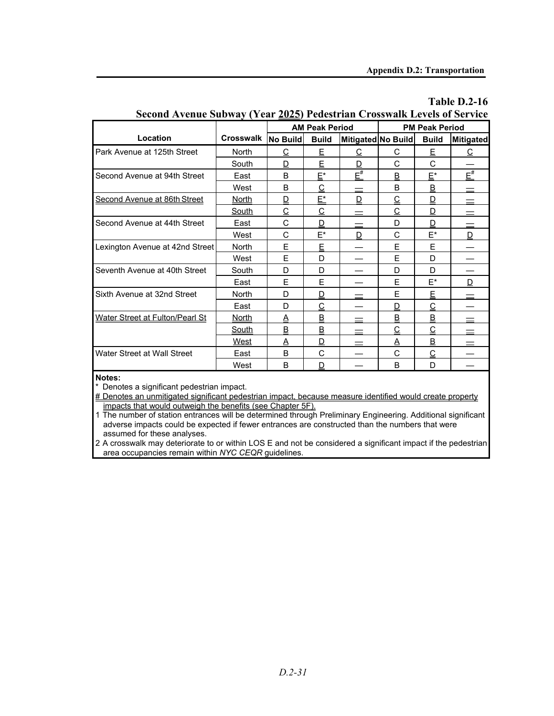**Table D.2-16**

|                                 |                  |                 | <b>AM Peak Period</b> |                    |          | <b>PM Peak Period</b>      |                  |
|---------------------------------|------------------|-----------------|-----------------------|--------------------|----------|----------------------------|------------------|
| Location                        | <b>Crosswalk</b> | <b>No Build</b> | <b>Build</b>          | Mitigated No Build |          | <b>Build</b>               | <b>Mitigated</b> |
| Park Avenue at 125th Street     | <b>North</b>     | С               | E                     | С                  | С        | E                          | С                |
|                                 | South            | D               | E                     | D                  | С        | C                          |                  |
| Second Avenue at 94th Street    | East             | B               | E*                    | $E^{\#}$           | B        | $E^*$                      | $E^{\#}$         |
|                                 | West             | <sub>B</sub>    | $\overline{C}$        |                    | B        | B                          |                  |
| Second Avenue at 86th Street    | <b>North</b>     | D               | E*                    | D                  | C        | D                          |                  |
|                                 | South            | C               | C                     |                    | C        | D                          |                  |
| Second Avenue at 44th Street    | East             | C               | D                     |                    | D        | D                          |                  |
|                                 | West             | C               | $F^*$                 | D                  | C        | $E^*$                      | D                |
| Lexington Avenue at 42nd Street | <b>North</b>     | E               | E                     |                    | E        | E                          |                  |
|                                 | West             | E               | D                     |                    | E        | D                          |                  |
| Seventh Avenue at 40th Street   | South            | D               | D                     |                    | D        | D                          |                  |
|                                 | East             | F               | F                     |                    | F        | E*                         | D                |
| Sixth Avenue at 32nd Street     | <b>North</b>     | D               | ₫                     |                    | E        | $\underline{\mathsf{E}}$   |                  |
|                                 | East             | D               | $\overline{C}$        |                    | D        | $\overline{C}$             |                  |
| Water Street at Fulton/Pearl St | <b>North</b>     | A               | <u>B</u>              |                    | <u>B</u> | $\overline{\mathsf{B}}$    |                  |
|                                 | <b>South</b>     | <u>B</u>        | B                     |                    | С        | $\overline{\underline{C}}$ |                  |
|                                 | West             | Α               | D                     |                    | Α        | $\underline{\mathsf{B}}$   |                  |
| Water Street at Wall Street     | East             | B               | C                     |                    | C        | C                          |                  |
|                                 | West             | B               | D                     |                    | B        | D                          |                  |

## **Second Avenue Subway (Year 2025) Pedestrian Crosswalk Levels of Service**

**Notes:**

Denotes a significant pedestrian impact.

# Denotes an unmitigated significant pedestrian impact, because measure identified would create property impacts that would outweigh the benefits (see Chapter 5F).

1 The number of station entrances will be determined through Preliminary Engineering. Additional significant adverse impacts could be expected if fewer entrances are constructed than the numbers that were assumed for these analyses.

2 A crosswalk may deteriorate to or within LOS E and not be considered a significant impact if the pedestrian area occupancies remain within *NYC CEQR* guidelines.